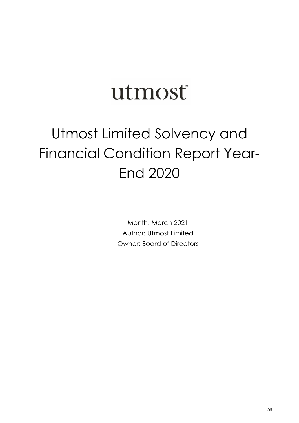# utmost

# Utmost Limited Solvency and Financial Condition Report Year-End 2020

Month: March 2021 Author: Utmost Limited Owner: Board of Directors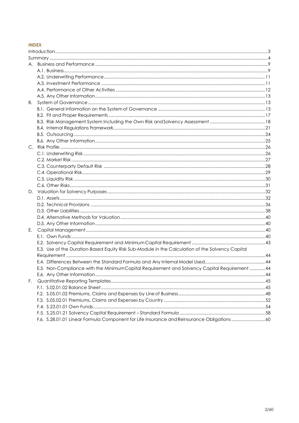## **INDEX**

| А. |                                                                                                  |  |
|----|--------------------------------------------------------------------------------------------------|--|
|    |                                                                                                  |  |
|    |                                                                                                  |  |
|    |                                                                                                  |  |
|    |                                                                                                  |  |
|    |                                                                                                  |  |
| В. |                                                                                                  |  |
|    |                                                                                                  |  |
|    |                                                                                                  |  |
|    |                                                                                                  |  |
|    |                                                                                                  |  |
|    |                                                                                                  |  |
|    |                                                                                                  |  |
| C. |                                                                                                  |  |
|    |                                                                                                  |  |
|    |                                                                                                  |  |
|    |                                                                                                  |  |
|    |                                                                                                  |  |
|    |                                                                                                  |  |
|    |                                                                                                  |  |
|    |                                                                                                  |  |
|    |                                                                                                  |  |
|    |                                                                                                  |  |
|    |                                                                                                  |  |
|    |                                                                                                  |  |
|    |                                                                                                  |  |
| Е. |                                                                                                  |  |
|    |                                                                                                  |  |
|    |                                                                                                  |  |
|    | E.3. Use of the Duration-Based Equity Risk Sub-Module in the Calculation of the Solvency Capital |  |
|    |                                                                                                  |  |
|    |                                                                                                  |  |
|    | E.5. Non-Compliance with the MinimumCapital Requirement and Solvency Capital Requirement 44      |  |
|    |                                                                                                  |  |
| F. |                                                                                                  |  |
|    |                                                                                                  |  |
|    |                                                                                                  |  |
|    |                                                                                                  |  |
|    |                                                                                                  |  |
|    |                                                                                                  |  |
|    | F.6. S.28.01.01 Linear Formula Component for Life Insurance and Reinsurance Obligations 60       |  |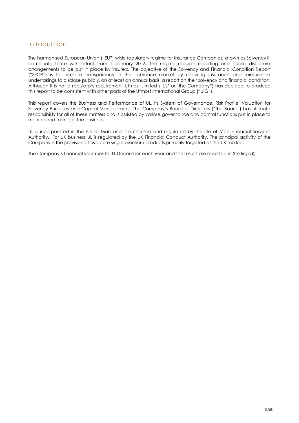## <span id="page-2-0"></span>Introduction

The harmonised European Union ("EU") wide regulatory regime for Insurance Companies, known as Solvency II, came into force with effect from 1 January 2016. The regime requires reporting and public disclosure arrangements to be put in place by insurers. The objective of the Solvency and Financial Condition Report ("SFCR") is to increase transparency in the insurance market by requiring insurance and reinsurance undertakings to disclose publicly, on at least an annual basis, a report on their solvency and financial condition. Although it is not a regulatory requirement Utmost Limited ("UL' or 'the Company") has decided to produce this report to be consistent with other parts of the Utmost International Group ("UIG").

This report covers the Business and Performance of UL, its System of Governance, Risk Profile, Valuation for Solvency Purposes and Capital Management. The Company's Board of Directors ("the Board") has ultimate responsibility for all of these matters and is assisted by various governance and control functions put in place to monitor and manage the business.

UL is incorporated in the Isle of Man and is authorised and regulated by the Isle of Man Financial Services Authority. For UK business UL is regulated by the UK Financial Conduct Authority. The principal activity of the Company is the provision of two core single premium products primarily targeted at the UK market.

The Company's financial year runs to 31 December each year and the results are reported in Sterling (£).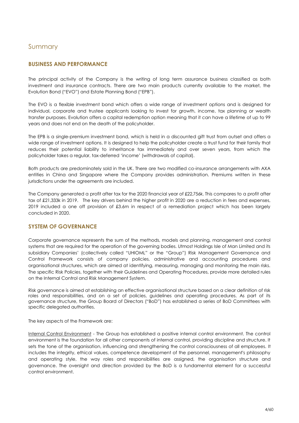## <span id="page-3-0"></span>Summary

## **BUSINESS AND PERFORMANCE**

The principal activity of the Company is the writing of long term assurance business classified as both investment and insurance contracts. There are two main products currently available to the market, the Evolution Bond ("EVO") and Estate Planning Bond ("EPB").

The EVO is a flexible investment bond which offers a wide range of investment options and is designed for individual, corporate and trustee applicants looking to invest for growth, income, tax planning or wealth transfer purposes. Evolution offers a capital redemption option meaning that it can have a lifetime of up to 99 years and does not end on the death of the policyholder.

The EPB is a single-premium investment bond, which is held in a discounted gift trust from outset and offers a wide range of investment options. It is designed to help the policyholder create a trust fund for their family that reduces their potential liability to inheritance tax immediately and over seven years, from which the policyholder takes a regular, tax-deferred 'income' (withdrawals of capital).

Both products are predominately sold in the UK. There are two modified co-insurance arrangements with AXA entities in China and Singapore where the Company provides administration. Premiums written in these jurisdictions under the agreements are included.

The Company generated a profit after tax for the 2020 financial year of £22,756k. This compares to a profit after tax of £21,333k in 2019. The key drivers behind the higher profit in 2020 are a reduction in fees and expenses, 2019 included a one off provision of £3.6m in respect of a remediation project which has been largely concluded in 2020.

## **SYSTEM OF GOVERNANCE**

Corporate governance represents the sum of the methods, models and planning, management and control systems that are required for the operation of the governing bodies. Utmost Holdings Isle of Man Limited and its subsidiary Companies' (collectively called "UHIOML" or the "Group") Risk Management Governance and Control Framework consists of company policies, administrative and accounting procedures and organisational structures, which are aimed at identifying, measuring, managing and monitoring the main risks. The specific Risk Policies, together with their Guidelines and Operating Procedures, provide more detailed rules on the Internal Control and Risk Management System.

Risk governance is aimed at establishing an effective organisational structure based on a clear definition of risk roles and responsibilities, and on a set of policies, guidelines and operating procedures. As part of its governance structure, the Group Board of Directors ("BoD") has established a series of BoD Committees with specific delegated authorities.

The key aspects of the Framework are:

Internal Control Environment - The Group has established a positive internal control environment. The control environment is the foundation for all other components of internal control, providing discipline and structure. It sets the tone of the organisation, influencing and strengthening the control consciousness of all employees. It includes the integrity, ethical values, competence development of the personnel, management's philosophy and operating style, the way roles and responsibilities are assigned, the organisation structure and governance. The oversight and direction provided by the BoD is a fundamental element for a successful control environment.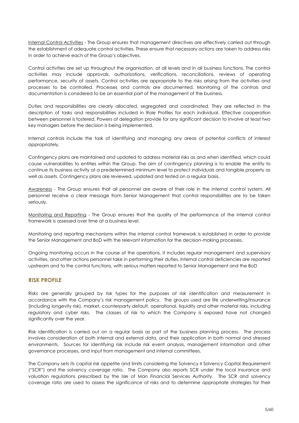Internal Control Activities - The Group ensures that management directives are effectively carried out through the establishment of adequate control activities. These ensure that necessary actions are taken to address risks in order to achieve each of the Group's objectives.

Control activities are set up throughout the organisation, at all levels and in all business functions. The control activities may include approvals, authorisations, verifications, reconciliations, reviews of operating performance, security of assets. Control activities are appropriate to the risks arising from the activities and processes to be controlled. Processes and controls are documented. Monitoring of the controls and documentation is considered to be an essential part of the management of the business.

Duties and responsibilities are clearly allocated, segregated and coordinated. They are reflected in the description of tasks and responsibilities included in Role Profiles for each individual. Effective cooperation between personnel is fostered. Powers of delegation provide for any significant decision to involve at least two key managers before the decision is being implemented.

Internal controls include the task of identifying and managing any areas of potential conflicts of interest appropriately.

Contingency plans are maintained and updated to address material risks as and when identified, which could cause vulnerabilities to entities within the Group. The aim of contingency planning is to enable the entity to continue its business activity at a predetermined minimum level to protect individuals and tangible property as well as assets. Contingency plans are reviewed, updated and tested on a regular basis.

Awareness - The Group ensures that all personnel are aware of their role in the internal control system. All personnel receive a clear message from Senior Management that control responsibilities are to be taken seriously.

Monitoring and Reporting - The Group ensures that the quality of the performance of the internal control framework is assessed over time at a business level.

Monitoring and reporting mechanisms within the internal control framework is established in order to provide the Senior Management and BoD with the relevant information for the decision-making processes.

Ongoing monitoring occurs in the course of the operations. It includes regular management and supervisory activities, and other actions personnel take in performing their duties. Internal control deficiencies are reported upstream and to the control functions, with serious matters reported to Senior Management and the BoD

## **RISK PROFILE**

Risks are generally grouped by risk types for the purposes of risk identification and measurement in accordance with the Company's risk management policy. The groups used are life underwriting/insurance (including longevity risk), market, counterparty default, operational, liquidity and other material risks, including regulatory and cyber risks. The classes of risk to which the Company is exposed have not changed significantly over the year.

Risk identification is carried out on a regular basis as part of the business planning process. The process involves consideration of both internal and external data, and their application in both normal and stressed environments. Sources for identifying risk include risk event analysis, management information and other governance processes, and input from management and internal committees.

The Company sets its capital risk appetite and limits considering the Solvency II Solvency Capital Requirement ("SCR") and the solvency coverage ratio. The Company also reports SCR under the local insurance and valuation regulations prescribed by the Isle of Man Financial Services Authority. The SCR and solvency coverage ratio are used to assess the significance of risks and to determine appropriate strategies for their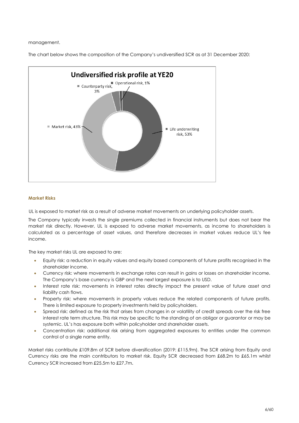management.

The chart below shows the composition of the Company's undiversified SCR as at 31 December 2020:



#### **Market Risks**

UL is exposed to market risk as a result of adverse market movements on underlying policyholder assets.

The Company typically invests the single premiums collected in financial instruments but does not bear the market risk directly. However, UL is exposed to adverse market movements, as income to shareholders is calculated as a percentage of asset values, and therefore decreases in market values reduce UL's fee income.

The key market risks UL are exposed to are:

- Equity risk: a reduction in equity values and equity based components of future profits recognised in the shareholder income.
- Currency risk: where movements in exchange rates can result in gains or losses on shareholder income. The Company's base currency is GBP and the next largest exposure is to USD.
- Interest rate risk: movements in interest rates directly impact the present value of future asset and liability cash flows.
- Property risk: where movements in property values reduce the related components of future profits. There is limited exposure to property investments held by policyholders.
- Spread risk: defined as the risk that arises from changes in or volatility of credit spreads over the risk free interest rate term structure. This risk may be specific to the standing of an obligor or guarantor or may be systemic. UL's has exposure both within policyholder and shareholder assets.
- Concentration risk: additional risk arising from aggregated exposures to entities under the common control of a single name entity.

Market risks contribute £109.8m of SCR before diversification (2019: £115.9m). The SCR arising from Equity and Currency risks are the main contributors to market risk. Equity SCR decreased from £68.2m to £65.1m whilst Currency SCR increased from £25.5m to £27.7m.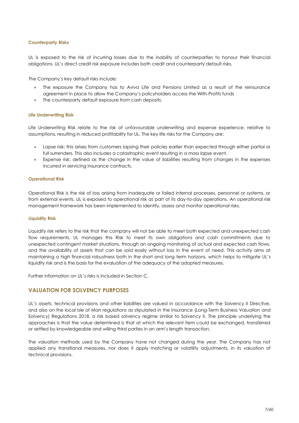#### **Counterparty Risks**

UL is exposed to the risk of incurring losses due to the inability of counterparties to honour their financial obligations. UL's direct credit risk exposure includes both credit and counterparty default risks.

The Company's key default risks include:

- The exposure the Company has to Aviva Life and Pensions Limited as a result of the reinsurance agreement in place to allow the Company's policyholders access the With-Profits funds
- The counterparty default exposure from cash deposits.

#### **Life Underwriting Risk**

Life Underwriting Risk relate to the risk of unfavourable underwriting and expense experience, relative to assumptions, resulting in reduced profitability for UL. The key life risks for the Company are:

- Lapse risk: this arises from customers lapsing their policies earlier than expected through either partial or full surrenders. This also includes a catastrophic event resulting in a mass lapse event.
- Expense risk: defined as the change in the value of liabilities resulting from changes in the expenses incurred in servicing insurance contracts.

#### **Operational Risk**

Operational Risk is the risk of loss arising from inadequate or failed internal processes, personnel or systems, or from external events. UL is exposed to operational risk as part of its day-to-day operations. An operational risk management framework has been implemented to identify, assess and monitor operational risks.

#### **Liquidity Risk**

Liquidity risk refers to the risk that the company will not be able to meet both expected and unexpected cash flow requirements. UL manages this Risk to meet its own obligations and cash commitments due to unexpected contingent market situations, through an ongoing monitoring of actual and expected cash flows, and the availability of assets that can be sold easily without loss in the event of need. This activity aims at maintaining a high financial robustness both in the short and long term horizons, which helps to mitigate UL's liquidity risk and is the basis for the evaluation of the adequacy of the adopted measures.

Further information on UL's risks is included in Section C.

## **VALUATION FOR SOLVENCY PURPOSES**

UL's assets, technical provisions and other liabilities are valued in accordance with the Solvency II Directive, and also on the local Isle of Man regulations as stipulated in the Insurance (Long-Term Business Valuation and Solvency) Regulations 2018, a risk based solvency regime similar to Solvency II. The principle underlying the approaches is that the value determined is that at which the relevant item could be exchanged, transferred or settled by knowledgeable and willing third parties in an arm's length transaction.

The valuation methods used by the Company have not changed during the year. The Company has not applied any transitional measures, nor does it apply matching or volatility adjustments, in its valuation of technical provisions.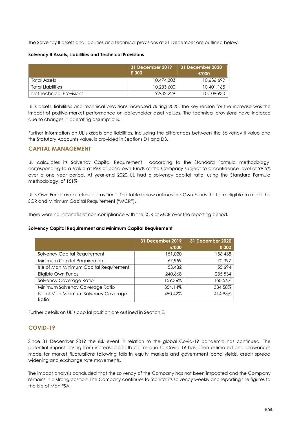The Solvency II assets and liabilities and technical provisions at 31 December are outlined below.

#### **Solvency II Assets, Liabilities and Technical Provisions**

|                          | 31 December 2019<br>£'000 | 31 December 2020<br>£'000 |
|--------------------------|---------------------------|---------------------------|
| Total Assets             | 10.474.303                | 10.636.699                |
| Total Liabilities        | 10,233,600                | 10,401,165                |
| Net Technical Provisions | 9.932.229                 | 10,109,930                |

UL's assets, liabilities and technical provisions increased during 2020. The key reason for the increase was the impact of positive market performance on policyholder asset values. The technical provisions have increase due to changes in operating assumptions.

Further information on UL's assets and liabilities, including the differences between the Solvency II value and the Statutory Accounts value, is provided in Sections D1 and D3.

## **CAPITAL MANAGEMENT**

UL calculates its Solvency Capital Requirement according to the Standard Formula methodology, corresponding to a Value-at-Risk of basic own funds of the Company subject to a confidence level of 99.5% over a one year period. At year-end 2020 UL had a solvency capital ratio, using the Standard Formula methodology, of 151%.

UL's Own Funds are all classified as Tier 1. The table below outlines the Own Funds that are eligible to meet the SCR and Minimum Capital Requirement ("MCR").

There were no instances of non-compliance with the SCR or MCR over the reporting period.

## **Solvency Capital Requirement and Minimum Capital Requirement**

|                                                | <b>31 December 2019</b> | 31 December 2020 |
|------------------------------------------------|-------------------------|------------------|
|                                                | £'000                   | £'000            |
| <b>Solvency Capital Requirement</b>            | 151,020                 | 156,438          |
| Minimum Capital Requirement                    | 67.959                  | 70.397           |
| Isle of Man Minimum Capital Requirement        | 53,432                  | 55,694           |
| Eligible Own Funds                             | 240,668                 | 235,534          |
| Solvency Coverage Ratio                        | 159.36%                 | 150.56%          |
| Minimum Solvency Coverage Ratio                | 354.14%                 | 334.58%          |
| Isle of Man Minimum Solvency Coverage<br>Ratio | 450.42%                 | 414.95%          |

Further details on UL's capital position are outlined in Section E.

## **COVID-19**

Since 31 December 2019 the risk event in relation to the global Covid-19 pandemic has continued. The potential impact arising from increased death claims due to Covid-19 has been estimated and allowances made for market fluctuations following falls in equity markets and government bond yields, credit spread widening and exchange rate movements.

The impact analysis concluded that the solvency of the Company has not been impacted and the Company remains in a strong position. The Company continues to monitor its solvency weekly and reporting the figures to the Isle of Man FSA.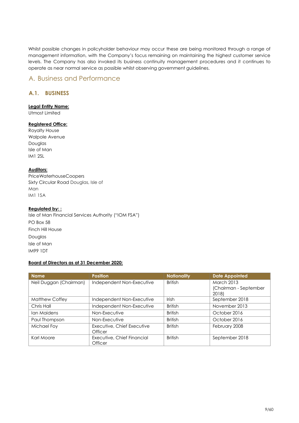Whilst possible changes in policyholder behaviour may occur these are being monitored through a range of management information, with the Company's focus remaining on maintaining the highest customer service levels. The Company has also invoked its business continuity management procedures and it continues to operate as near normal service as possible whilst observing government guidelines.

## <span id="page-8-0"></span>A. Business and Performance

## <span id="page-8-1"></span>**A.1. BUSINESS**

## **Legal Entity Name:**

Utmost Limited

## **Registered Office:**

Royalty House Walpole Avenue Douglas Isle of Man IM1 2SL

## **Auditors:**

PriceWaterhouseCoopers Sixty Circular Road Douglas, Isle of Man IM1 1SA

#### **Regulated by: :**

Isle of Man Financial Services Authority ("IOM FSA") PO Box 58 Finch Hill House Douglas Isle of Man IM99 1DT

#### **Board of Directors as at 31 December 2020:**

| <b>Name</b>            | <b>Position</b>                       | <b>Nationality</b> | <b>Date Appointed</b>          |
|------------------------|---------------------------------------|--------------------|--------------------------------|
| Neil Duggan (Chairman) | Independent Non-Executive             | <b>British</b>     | <b>March 2013</b>              |
|                        |                                       |                    | (Chairman - September<br>2018) |
| Matthew Coffey         | Independent Non-Executive             | Irish              | September 2018                 |
| Chris Hall             | Independent Non-Executive             | <b>British</b>     | November 2013                  |
| Ian Maidens            | Non-Executive                         | <b>British</b>     | October 2016                   |
| Paul Thompson          | Non-Executive                         | <b>British</b>     | October 2016                   |
| Michael Foy            | Executive, Chief Executive<br>Officer | <b>British</b>     | February 2008                  |
| Karl Moore             | Executive, Chief Financial            | <b>British</b>     | September 2018                 |
|                        | Officer                               |                    |                                |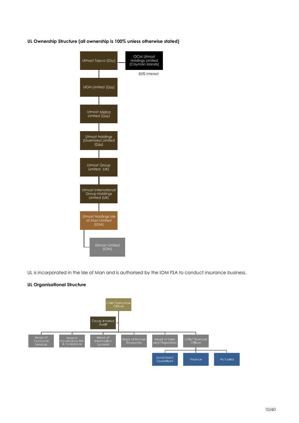**UL Ownership Structure (all ownership is 100% unless otherwise stated)**



UL is incorporated in the Isle of Man and is authorised by the IOM FSA to conduct insurance business.

## **UL Organisational Structure**

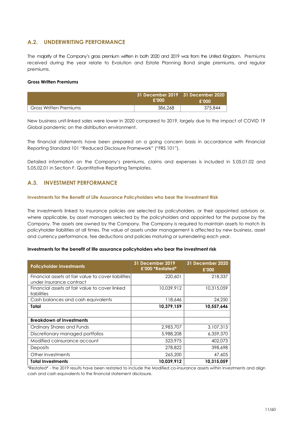## <span id="page-10-0"></span>**A.2. UNDERWRITING PERFORMANCE**

The majority of the Company's gross premium written in both 2020 and 2019 was from the United Kingdom. Premiums received during the year relate to Evolution and Estate Planning Bond single premiums, and regular premiums.

#### **Gross Written Premiums**

|                        | E'OOO   | 31 December 2019   31 December 2020  <br>£'000 |
|------------------------|---------|------------------------------------------------|
| Gross Written Premiums | 386,268 | 375,844                                        |

New business unit-linked sales were lower in 2020 compared to 2019, largely due to the impact of COVID 19 Global pandemic on the distribution environment.

The financial statements have been prepared on a going concern basis in accordance with Financial Reporting Standard 101 "Reduced Disclosure Framework" ("FRS 101").

Detailed information on the Company's premiums, claims and expenses is included in S.05.01.02 and S.05.02.01 in Section F. Quantitative Reporting Templates.

## **A.3. INVESTMENT PERFORMANCE**

#### **Investments for the Benefit of Life Assurance Policyholders who bear the Investment Risk**

The investments linked to insurance policies are selected by policyholders, or their appointed advisors or, where applicable, by asset managers selected by the policyholders and appointed for the purpose by the Company. The assets are owned by the Company. The Company is required to maintain assets to match its policyholder liabilities at all times. The value of assets under management is affected by new business, asset and currency performance, fee deductions and policies maturing or surrendering each year.

#### **Investments for the benefit of life assurance policyholders who bear the investment risk**

| <b>Policyholder Investments</b>                                                 | <b>31 December 2019</b><br>£'000 *Restated* | 31 December 2020<br>£'000 |
|---------------------------------------------------------------------------------|---------------------------------------------|---------------------------|
| Financial assets at fair value to cover liabilities<br>under insurance contract | 220,601                                     | 218,337                   |
| Financial assets at fair value to cover linked<br>liabilities                   | 10.039.912                                  | 10,315,059                |
| Cash balances and cash equivalents                                              | 118,646                                     | 24,250                    |
| Total                                                                           | 10,379,159                                  | 10,557,646                |
|                                                                                 |                                             |                           |
| <b>Breakdown of Investments</b>                                                 |                                             |                           |
| Ordinary Shares and Funds                                                       | 2,983,707                                   | 3,107,313                 |
| Discretionary managed portfolios                                                | 5,988,208                                   | 6,359,370                 |
| Modified coinsurance account                                                    | 523,975                                     | 402.073                   |
| <b>Deposits</b>                                                                 | 278,822                                     | 398,698                   |
| Other Investments                                                               | 265,200                                     | 47,605                    |
| <b>Total Investments</b>                                                        | 10,039,912                                  | 10,315,059                |

\*Restated\* - the 2019 results have been restated to include the Modified co-insurance assets within Investments and align cash and cash equivalents to the financial statement disclosure.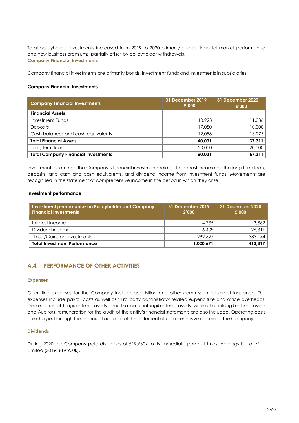Total policyholder investments increased from 2019 to 2020 primarily due to financial market performance and new business premiums, partially offset by policyholder withdrawals. **Company Financial Investments**

Company financial investments are primarily bonds, investment funds and investments in subsidiaries.

## **Company Financial Investments**

| <b>Company Financial Investments</b>       | 31 December 2019<br>£'000 | 31 December 2020<br>£'000 |
|--------------------------------------------|---------------------------|---------------------------|
| <b>Financial Assets</b>                    |                           |                           |
| <b>Investment Funds</b>                    | 10,923                    | 11,036                    |
| <b>Deposits</b>                            | 17,050                    | 10,000                    |
| Cash balances and cash equivalents         | 12,058                    | 16,275                    |
| <b>Total Financial Assets</b>              | 40,031                    | 37,311                    |
| Long term loan                             | 20,000                    | 20,000                    |
| <b>Total Company Financial Investments</b> | 60,031                    | 57,311                    |

<span id="page-11-1"></span>Investment income on the Company's financial investments relates to interest income on the long term loan, deposits, and cash and cash equivalents, and dividend income from investment funds. Movements are recognised in the statement of comprehensive income in the period in which they arise.

#### **Investment performance**

| Investment performance on Policyholder and Company<br><b>Financial Investments</b> | 31 December 2019<br>£'000 | 31 December 2020<br>£'000 |
|------------------------------------------------------------------------------------|---------------------------|---------------------------|
| Interest income                                                                    | 4,735                     | 3.862                     |
| Dividend income                                                                    | 16,409                    | 26.311                    |
| (Loss)/Gains on investments                                                        | 999.527                   | 383.144                   |
| <b>Total Investment Performance</b>                                                | 1,020,671                 | 413.317                   |

## <span id="page-11-0"></span>**A.4. PERFORMANCE OF OTHER ACTIVITIES**

#### **Expenses**

Operating expenses for the Company include acquisition and other commission for direct insurance. The expenses include payroll costs as well as third party administrator related expenditure and office overheads. Depreciation of tangible fixed assets, amortisation of intangible fixed assets, write-off of intangible fixed assets and Auditors' remuneration for the audit of the entity's financial statements are also included. Operating costs are charged through the technical account of the statement of comprehensive income of the Company.

#### **Dividends**

During 2020 the Company paid dividends of £19,660k to its immediate parent Utmost Holdings Isle of Man Limited (2019: £19,900k).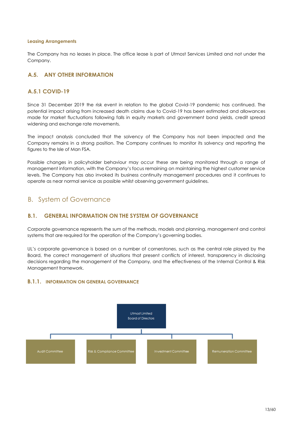#### **Leasing Arrangements**

The Company has no leases in place. The office lease is part of Utmost Services Limited and not under the Company.

## <span id="page-12-0"></span>**A.5. ANY OTHER INFORMATION**

## **A.5.1 COVID-19**

Since 31 December 2019 the risk event in relation to the global Covid-19 pandemic has continued. The potential impact arising from increased death claims due to Covid-19 has been estimated and allowances made for market fluctuations following falls in equity markets and government bond yields, credit spread widening and exchange rate movements.

The impact analysis concluded that the solvency of the Company has not been impacted and the Company remains in a strong position. The Company continues to monitor its solvency and reporting the figures to the Isle of Man FSA.

Possible changes in policyholder behaviour may occur these are being monitored through a range of management information, with the Company's focus remaining on maintaining the highest customer service levels. The Company has also invoked its business continuity management procedures and it continues to operate as near normal service as possible whilst observing government guidelines.

## B. System of Governance

## <span id="page-12-1"></span>**B.1. GENERAL INFORMATION ON THE SYSTEM OF GOVERNANCE**

Corporate governance represents the sum of the methods, models and planning, management and control systems that are required for the operation of the Company's governing bodies.

UL's corporate governance is based on a number of cornerstones, such as the central role played by the Board, the correct management of situations that present conflicts of interest, transparency in disclosing decisions regarding the management of the Company, and the effectiveness of the Internal Control & Risk Management framework.

## **B.1.1. INFORMATION ON GENERAL GOVERNANCE**

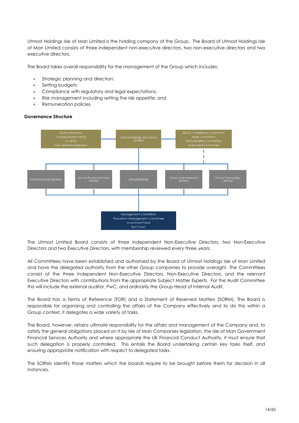Utmost Holdings Isle of Man Limited is the holding company of the Group. The Board of Utmost Holdings Isle of Man Limited consists of three independent non-executive directors, two non-executive directors and two executive directors.

The Board takes overall responsibility for the management of the Group which includes:

- Strategic planning and direction;
- Setting budgets;
- Compliance with regulatory and legal expectations;
- Risk management including setting the risk appetite; and
- Remuneration policies

## Utmost Holdings Isle of Mo<br>Limited T Ï Utmost Trustee Solut<mark>i</mark>a<br>Limited Jtmost Administrat<br>Limited Utmost Partner<mark>ships</mark><br>Limited Management Committee Proposition Management Committee Investment Panel **Trust Forum**

**Governance Structure**

The Utmost Limited Board consists of three Independent Non-Executive Directors, two Non-Executive Directors and two Executive Directors, with membership reviewed every three years.

All Committees have been established and authorised by the Board of Utmost Holdings Isle of Man Limited and have the delegated authority from the other Group companies to provide oversight. The Committees consist of the three Independent Non-Executive Directors, Non-Executive Directors, and the relevant Executive Directors with contributions from the appropriate Subject Matter Experts. For the Audit Committee this will include the external auditor, PwC, and ordinarily the Group Head of Internal Audit.

The Board has a Terms of Reference (TOR) and a Statement of Reserved Matters (SORM). The Board is responsible for organising and controlling the affairs of the Company effectively and to do this within a Group context, it delegates a wide variety of tasks.

The Board, however, retains ultimate responsibility for the affairs and management of the Company and, to satisfy the general obligations placed on it by Isle of Man Companies legislation, the Isle of Man Government Financial Services Authority and where appropriate the UK Financial Conduct Authority, it must ensure that such delegation is properly controlled. This entails the Board undertaking certain key tasks itself, and ensuring appropriate notification with respect to delegated tasks.

The SORMs identify those matters which the boards require to be brought before them for decision in all instances.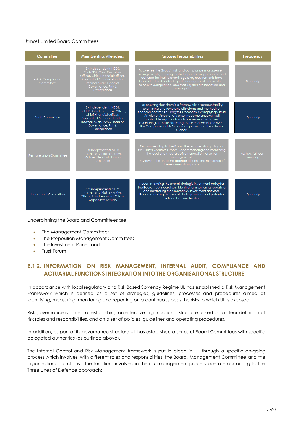## Utmost Limited Board Committees:

| Committee                      | <b>Membership/Attendees</b>                                                                                                                                                               | <b>Purpose/Responsibilities</b>                                                                                                                                                                                                                                                                                                                                                                                                     | Frequency                     |
|--------------------------------|-------------------------------------------------------------------------------------------------------------------------------------------------------------------------------------------|-------------------------------------------------------------------------------------------------------------------------------------------------------------------------------------------------------------------------------------------------------------------------------------------------------------------------------------------------------------------------------------------------------------------------------------|-------------------------------|
| Risk & Compliance<br>Committee | 3 x Independents NEDS,<br>2 X NEDS, Chief Executive<br>Officer, Chief Financial Officer,<br>Appointed Actuary, Head of<br>Internal Audit, Head of<br>Governance, Risk &<br>Compliance     | To oversee the Group's risk and compliance management<br>arrangements, ensuring that risk appetite is appropriate and<br>adhered to; that relevant regulatory requirements have<br>been identified and adequate arrangements are in place<br>to ensure compliance; and that key risks are identified and<br>managed.                                                                                                                | Quarterly                     |
| Audit Committee                | 3 x Independents NEDS,<br>1 X NED, Chief Executive Officer,<br>Chief Financial Officer.<br>Appointed Actuary, Head of<br>Internal Audit, PWC, Head of<br>Governance, Risk &<br>Compliance | For ensuring that there is a framework for accountability;<br>examining and reviewing all systems and methods of<br>financial control; ensuring the Company is complying with its<br>Articles of Association; ensuring compliance with all<br>applicable legal and regulatory requirements; and<br>overseeing all matters relating to the relationship between<br>the Company and its Group companies and the External<br>Auditors. | Quarterly                     |
| Remuneration Committee         | 3 x Independents NEDS,<br>2 X NEDS, Chief Executive<br>Officer, Head of Human<br><b>Resources</b>                                                                                         | Recommending to the Board the remuneration policy for<br>the Chief Executive Officer, Recommending and monitoring<br>the level and structure of remuneration for senior<br>management.<br>Reviewing the on-going appropriateness and relevance of<br>the remuneration policy.                                                                                                                                                       | Ad-hoc (at least<br>annually) |
| Investment Committee           | 3 x Independents NEDS,<br>2 X NEDS, Chief Executive<br>Officer, Chief Financial Officer,<br>Appointed Actuary                                                                             | Recommending the overall strategic investment policy for<br>the Board's consideration. Identifying, monitoring, reporting<br>and controlling the Company's investment activities.<br>Recommending the overall strategic investment policy for<br>the Board's consideration.                                                                                                                                                         | Quarterly                     |

Underpinning the Board and Committees are:

- The Management Committee;
- The Proposition Management Committee;
- The Investment Panel; and
- Trust Forum

## **B.1.2. INFORMATION ON RISK MANAGEMENT, INTERNAL AUDIT, COMPLIANCE AND ACTUARIAL FUNCTIONS INTEGRATION INTO THE ORGANISATIONAL STRUCTURE**

In accordance with local regulatory and Risk Based Solvency Regime UL has established a Risk Management Framework which is defined as a set of strategies, guidelines, processes and procedures aimed at identifying, measuring, monitoring and reporting on a continuous basis the risks to which UL is exposed.

Risk governance is aimed at establishing an effective organisational structure based on a clear definition of risk roles and responsibilities, and on a set of policies, guidelines and operating procedures.

In addition, as part of its governance structure UL has established a series of Board Committees with specific delegated authorities (as outlined above).

The Internal Control and Risk Management framework is put in place in UL through a specific on-going process which involves, with different roles and responsibilities, the Board, Management Committee and the organisational functions. The functions involved in the risk management process operate according to the Three Lines of Defence approach: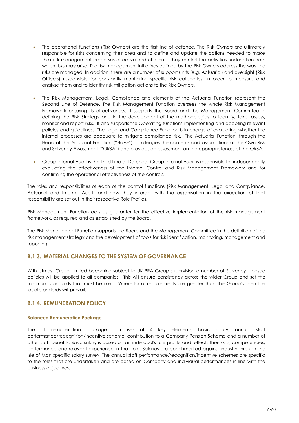- The operational functions (Risk Owners) are the first line of defence. The Risk Owners are ultimately responsible for risks concerning their area and to define and update the actions needed to make their risk management processes effective and efficient. They control the activities undertaken from which risks may arise. The risk management initiatives defined by the Risk Owners address the way the risks are managed. In addition, there are a number of support units (e.g. Actuarial) and oversight (Risk Officers) responsible for constantly monitoring specific risk categories, in order to measure and analyse them and to identity risk mitigation actions to the Risk Owners.
- The Risk Management, Legal, Compliance and elements of the Actuarial Function represent the Second Line of Defence. The Risk Management Function oversees the whole Risk Management Framework ensuring its effectiveness. It supports the Board and the Management Committee in defining the Risk Strategy and in the development of the methodologies to identify, take, assess, monitor and report risks. It also supports the Operating functions implementing and adopting relevant policies and guidelines. The Legal and Compliance Function is in charge of evaluating whether the internal processes are adequate to mitigate compliance risk. The Actuarial Function, through the Head of the Actuarial Function ("HoAF"), challenges the contents and assumptions of the Own Risk and Solvency Assessment ("ORSA") and provides an assessment on the appropriateness of the ORSA.
- Group Internal Audit is the Third Line of Defence. Group Internal Audit is responsible for independently evaluating the effectiveness of the Internal Control and Risk Management Framework and for confirming the operational effectiveness of the controls.

The roles and responsibilities of each of the control functions (Risk Management, Legal and Compliance, Actuarial and Internal Audit) and how they interact with the organisation in the execution of that responsibility are set out in their respective Role Profiles.

Risk Management Function acts as guarantor for the effective implementation of the risk management framework, as required and as established by the Board.

The Risk Management Function supports the Board and the Management Committee in the definition of the risk management strategy and the development of tools for risk identification, monitoring, management and reporting.

## **B.1.3. MATERIAL CHANGES TO THE SYSTEM OF GOVERNANCE**

With Utmost Group Limited becoming subject to UK PRA Group supervision a number of Solvency II based policies will be applied to all companies. This will ensure consistency across the wider Group and set the minimum standards that must be met. Where local requirements are greater than the Group's then the local standards will prevail.

## **B.1.4. REMUNERATION POLICY**

#### **Balanced Remuneration Package**

The UL remuneration package comprises of 4 key elements; basic salary, annual staff performance/recognition/incentive scheme, contribution to a Company Pension Scheme and a number of other staff benefits. Basic salary is based on an individual's role profile and reflects their skills, competencies, performance and relevant experience in that role. Salaries are benchmarked against industry through the Isle of Man specific salary survey. The annual staff performance/recognition/incentive schemes are specific to the roles that are undertaken and are based on Company and individual performances in line with the business objectives.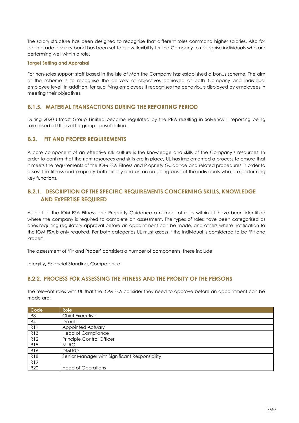The salary structure has been designed to recognise that different roles command higher salaries. Also for each grade a salary band has been set to allow flexibility for the Company to recognise individuals who are performing well within a role.

#### **Target Setting and Appraisal**

For non-sales support staff based in the Isle of Man the Company has established a bonus scheme. The aim of the scheme is to recognise the delivery of objectives achieved at both Company and individual employee level. In addition, for qualifying employees it recognises the behaviours displayed by employees in meeting their objectives.

## **B.1.5. MATERIAL TRANSACTIONS DURING THE REPORTING PERIOD**

During 2020 Utmost Group Limited became regulated by the PRA resulting in Solvency II reporting being formalised at UL level for group consolidation.

## <span id="page-16-0"></span>**B.2. FIT AND PROPER REQUIREMENTS**

A core component of an effective risk culture is the knowledge and skills of the Company's resources. In order to confirm that the right resources and skills are in place, UL has implemented a process to ensure that it meets the requirements of the IOM FSA Fitness and Propriety Guidance and related procedures in order to assess the fitness and propriety both initially and on an on-going basis of the individuals who are performing key functions.

## **B.2.1. DESCRIPTION OF THE SPECIFIC REQUIREMENTS CONCERNING SKILLS, KNOWLEDGE AND EXPERTISE REQUIRED**

As part of the IOM FSA Fitness and Propriety Guidance a number of roles within UL have been identified where the company is required to complete an assessment. The types of roles have been categorised as ones requiring regulatory approval before an appointment can be made, and others where notification to the IOM FSA is only required. For both categories UL must assess if the individual is considered to be 'Fit and Proper'.

The assessment of 'Fit and Proper' considers a number of components, these include:

Integrity, Financial Standing, Competence

## **B.2.2. PROCESS FOR ASSESSING THE FITNESS AND THE PROBITY OF THE PERSONS**

The relevant roles with UL that the IOM FSA consider they need to approve before an appointment can be made are:

| Code            | Role                                           |
|-----------------|------------------------------------------------|
| R <sub>8</sub>  | Chief Executive                                |
| R <sub>4</sub>  | <b>Director</b>                                |
| R <sub>11</sub> | Appointed Actuary                              |
| R <sub>13</sub> | <b>Head of Compliance</b>                      |
| R <sub>12</sub> | Principle Control Officer                      |
| <b>R15</b>      | <b>MLRO</b>                                    |
| <b>R16</b>      | <b>DMLRO</b>                                   |
| <b>R18</b>      | Senior Manager with Significant Responsibility |
| R <sub>19</sub> |                                                |
| <b>R20</b>      | <b>Head of Operations</b>                      |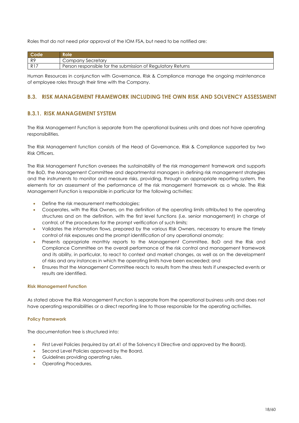Roles that do not need prior approval of the IOM FSA, but need to be notified are:

|                | Role                                                        |
|----------------|-------------------------------------------------------------|
| R9             | Company Secretary                                           |
| R <sup>1</sup> | Person responsible for the submission of Regulatory Returns |

Human Resources in conjunction with Governance, Risk & Compliance manage the ongoing maintenance of employee roles through their time with the Company.

## **B.3. RISK MANAGEMENT FRAMEWORK INCLUDING THE OWN RISK AND SOLVENCY ASSESSMENT**

## **B.3.1. RISK MANAGEMENT SYSTEM**

The Risk Management Function is separate from the operational business units and does not have operating responsibilities.

The Risk Management function consists of the Head of Governance, Risk & Compliance supported by two Risk Officers.

The Risk Management Function oversees the sustainability of the risk management framework and supports the BoD, the Management Committee and departmental managers in defining risk management strategies and the instruments to monitor and measure risks, providing, through an appropriate reporting system, the elements for an assessment of the performance of the risk management framework as a whole. The Risk Management Function is responsible in particular for the following activities:

- Define the risk measurement methodologies;
- Cooperates, with the Risk Owners, on the definition of the operating limits attributed to the operating structures and on the definition, with the first level functions (i.e. senior management) in charge of control, of the procedures for the prompt verification of such limits;
- Validates the information flows, prepared by the various Risk Owners, necessary to ensure the timely control of risk exposures and the prompt identification of any operational anomaly;
- Presents appropriate monthly reports to the Management Committee, BoD and the Risk and Compliance Committee on the overall performance of the risk control and management framework and its ability, in particular, to react to context and market changes, as well as on the development of risks and any instances in which the operating limits have been exceeded; and
- Ensures that the Management Committee reacts to results from the stress tests if unexpected events or results are identified.

## **Risk Management Function**

As stated above the Risk Management Function is separate from the operational business units and does not have operating responsibilities or a direct reporting line to those responsible for the operating activities.

## **Policy Framework**

The documentation tree is structured into:

- First Level Policies (required by art.41 of the Solvency II Directive and approved by the Board).
- Second Level Policies approved by the Board.
- Guidelines providing operating rules.
- Operating Procedures.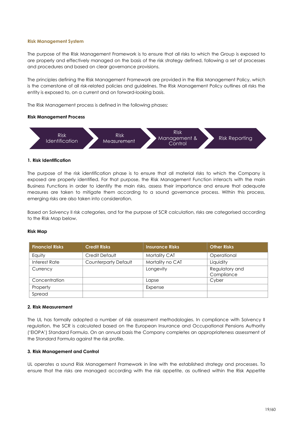#### **Risk Management System**

The purpose of the Risk Management Framework is to ensure that all risks to which the Group is exposed to are properly and effectively managed on the basis of the risk strategy defined, following a set of processes and procedures and based on clear governance provisions.

The principles defining the Risk Management Framework are provided in the Risk Management Policy, which is the cornerstone of all risk-related policies and guidelines. The Risk Management Policy outlines all risks the entity is exposed to, on a current and on forward-looking basis.

The Risk Management process is defined in the following phases:

#### **Risk Management Process**



#### **1. Risk Identification**

The purpose of the risk identification phase is to ensure that all material risks to which the Company is exposed are properly identified. For that purpose, the Risk Management Function interacts with the main Business Functions in order to identify the main risks, assess their importance and ensure that adequate measures are taken to mitigate them according to a sound governance process. Within this process, emerging risks are also taken into consideration.

Based on Solvency II risk categories, and for the purpose of SCR calculation, risks are categorised according to the Risk Map below.

#### **Risk Map**

| <b>Financial Risks</b> | <b>Credit Risks</b>  | <b>Insurance Risks</b> | <b>Other Risks</b>           |
|------------------------|----------------------|------------------------|------------------------------|
| Equity                 | Credit Default       | Mortality CAT          | Operational                  |
| Interest Rate          | Counterparty Default | Mortality no CAT       | Liquidity                    |
| Currency               |                      | Longevity              | Regulatory and<br>Compliance |
| Concentration          |                      | Lapse                  | Cyber                        |
| Property               |                      | Expense                |                              |
| Spread                 |                      |                        |                              |

#### **2. Risk Measurement**

The UL has formally adopted a number of risk assessment methodologies. In compliance with Solvency II regulation, the SCR is calculated based on the European Insurance and Occupational Pensions Authority ('EIOPA') Standard Formula. On an annual basis the Company completes an appropriateness assessment of the Standard Formula against the risk profile.

## **3. Risk Management and Control**

UL operates a sound Risk Management Framework in line with the established strategy and processes. To ensure that the risks are managed according with the risk appetite, as outlined within the Risk Appetite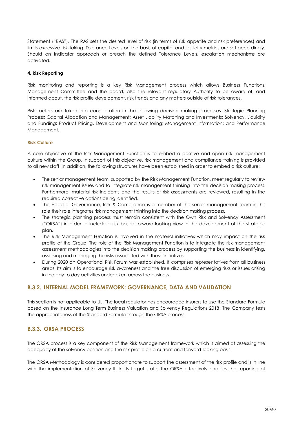Statement ("RAS"). The RAS sets the desired level of risk (in terms of risk appetite and risk preferences) and limits excessive risk-taking. Tolerance Levels on the basis of capital and liquidity metrics are set accordingly. Should an indicator approach or breach the defined Tolerance Levels, escalation mechanisms are activated.

#### **4. Risk Reporting**

Risk monitoring and reporting is a key Risk Management process which allows Business Functions, Management Committee and the board, also the relevant regulatory Authority to be aware of, and informed about, the risk profile development, risk trends and any matters outside of risk tolerances.

Risk factors are taken into consideration in the following decision making processes: Strategic Planning Process; Capital Allocation and Management; Asset Liability Matching and Investments; Solvency, Liquidity and Funding; Product Pricing, Development and Monitoring; Management Information; and Performance Management.

#### **Risk Culture**

A core objective of the Risk Management Function is to embed a positive and open risk management culture within the Group. In support of this objective, risk management and compliance training is provided to all new staff. In addition, the following structures have been established in order to embed a risk culture:

- The senior management team, supported by the Risk Management Function, meet regularly to review risk management issues and to integrate risk management thinking into the decision making process. Furthermore, material risk incidents and the results of risk assessments are reviewed, resulting in the required corrective actions being identified.
- The Head of Governance, Risk & Compliance is a member of the senior management team in this role their role integrates risk management thinking into the decision making process.
- The strategic planning process must remain consistent with the Own Risk and Solvency Assessment ("ORSA") in order to include a risk based forward-looking view in the development of the strategic plan.
- The Risk Management Function is involved in the material initiatives which may impact on the risk profile of the Group. The role of the Risk Management Function is to integrate the risk management assessment methodologies into the decision making process by supporting the business in identifying, assessing and managing the risks associated with these initiatives.
- During 2020 an Operational Risk Forum was established. It comprises representatives from all business areas. Its aim is to encourage risk awareness and the free discussion of emerging risks or issues arising in the day to day activities undertaken across the business.

## <span id="page-19-0"></span>**B.3.2. INTERNAL MODEL FRAMEWORK: GOVERNANCE, DATA AND VALIDATION**

This section is not applicable to UL. The local regulator has encouraged insurers to use the Standard Formula based on the Insurance Long Term Business Valuation and Solvency Regulations 2018. The Company tests the appropriateness of the Standard Formula through the ORSA process.

## **B.3.3. ORSA PROCESS**

The ORSA process is a key component of the Risk Management framework which is aimed at assessing the adequacy of the solvency position and the risk profile on a current and forward-looking basis.

The ORSA Methodology is considered proportionate to support the assessment of the risk profile and is in line with the implementation of Solvency II. In its target state, the ORSA effectively enables the reporting of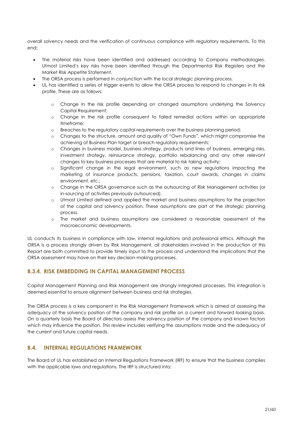overall solvency needs and the verification of continuous compliance with regulatory requirements. To this end:

- The material risks have been identified and addressed according to Company methodologies. Utmost Limited's key risks have been identified through the Departmental Risk Registers and the Market Risk Appetite Statement.
- The ORSA process is performed in conjunction with the local strategic planning process.
- UL has identified a series of trigger events to allow the ORSA process to respond to changes in its risk profile. These are as follows:
	- o Change in the risk profile depending on changed assumptions underlying the Solvency Capital Requirement;
	- o Change in the risk profile consequent to failed remedial actions within an appropriate timeframe;
	- o Breaches to the regulatory capital requirements over the business planning period;
	- o Changes to the structure, amount and quality of "Own Funds", which might compromise the achieving of Business Plan target or breach regulatory requirements;
	- o Changes in business model, business strategy, products and lines of business, emerging risks, investment strategy, reinsurance strategy, portfolio rebalancing and any other relevant changes to key business processes that are material to risk taking activity;
	- o Significant change in the legal environment, such as new regulations impacting the marketing of insurance products, pensions, taxation, court awards, changes in claims environment, etc.;
	- o Change in the ORSA governance such as the outsourcing of Risk Management activities (or in-sourcing of activities previously outsourced).
	- o Utmost Limited defined and applied the market and business assumptions for the projection of the capital and solvency position. These assumptions are part of the strategic planning process.
	- o The market and business assumptions are considered a reasonable assessment of the macroeconomic developments.

UL conducts its business in compliance with law, internal regulations and professional ethics. Although the ORSA is a process strongly driven by Risk Management, all stakeholders involved in the production of this Report are both committed to provide timely input to the process and understand the implications that the ORSA assessment may have on their key decision-making processes.

## **B.3.4. RISK EMBEDDING IN CAPITAL MANAGEMENT PROCESS**

Capital Management Planning and Risk Management are strongly integrated processes. This integration is deemed essential to ensure alignment between business and risk strategies.

The ORSA process is a key component in the Risk Management Framework which is aimed at assessing the adequacy of the solvency position of the company and risk profile on a current and forward looking basis. On a quarterly basis the Board of directors assess the solvency position of the company and known factors which may influence the position. This review includes verifying the assumptions made and the adequacy of the current and future capital needs.

## **B.4. INTERNAL REGULATIONS FRAMEWORK**

The Board of UL has established an Internal Regulations Framework (IRF) to ensure that the business complies with the applicable laws and regulations. The IRF is structured into: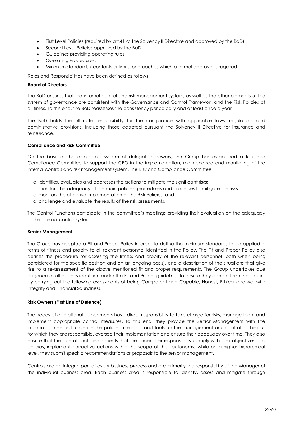- First Level Policies (required by art.41 of the Solvency II Directive and approved by the BoD).
- **Second Level Policies approved by the BoD.**
- Guidelines providing operating rules.
- Operating Procedures.
- Minimum standards / contents or limits for breaches which a formal approval is required.

Roles and Responsibilities have been defined as follows:

#### **Board of Directors**

The BoD ensures that the internal control and risk management system, as well as the other elements of the system of governance are consistent with the Governance and Control Framework and the Risk Policies at all times. To this end, the BoD reassesses the consistency periodically and at least once a year.

The BoD holds the ultimate responsibility for the compliance with applicable laws, regulations and administrative provisions, including those adopted pursuant the Solvency II Directive for insurance and reinsurance.

#### **Compliance and Risk Committee**

On the basis of the applicable system of delegated powers, the Group has established a Risk and Compliance Committee to support the CEO in the implementation, maintenance and monitoring of the internal controls and risk management system. The Risk and Compliance Committee:

- a. identifies, evaluates and addresses the actions to mitigate the significant risks;
- b. monitors the adequacy of the main policies, procedures and processes to mitigate the risks;
- c. monitors the effective implementation of the Risk Policies; and
- d. challenge and evaluate the results of the risk assessments.

The Control Functions participate in the committee's meetings providing their evaluation on the adequacy of the internal control system.

#### **Senior Management**

The Group has adopted a Fit and Proper Policy in order to define the minimum standards to be applied in terms of fitness and probity to all relevant personnel identified in the Policy. The Fit and Proper Policy also defines the procedure for assessing the fitness and probity of the relevant personnel (both when being considered for the specific position and on an ongoing basis), and a description of the situations that give rise to a re-assessment of the above mentioned fit and proper requirements. The Group undertakes due diligence of all persons identified under the Fit and Proper guidelines to ensure they can perform their duties by carrying out the following assessments of being Competent and Capable, Honest, Ethical and Act with Integrity and Financial Soundness.

#### **Risk Owners (First Line of Defence)**

The heads of operational departments have direct responsibility to take charge for risks, manage them and implement appropriate control measures. To this end, they provide the Senior Management with the information needed to define the policies, methods and tools for the management and control of the risks for which they are responsible, oversee their implementation and ensure their adequacy over time. They also ensure that the operational departments that are under their responsibility comply with their objectives and policies, implement corrective actions within the scope of their autonomy, while on a higher hierarchical level, they submit specific recommendations or proposals to the senior management.

Controls are an integral part of every business process and are primarily the responsibility of the Manager of the individual business area. Each business area is responsible to identify, assess and mitigate through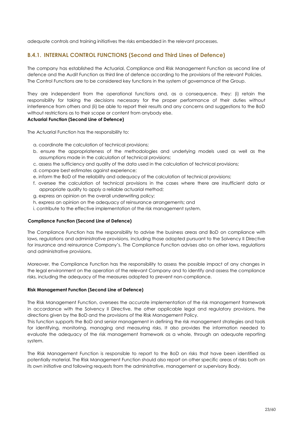adequate controls and training initiatives the risks embedded in the relevant processes.

## **B.4.1. INTERNAL CONTROL FUNCTIONS (Second and Third Lines of Defence)**

The company has established the Actuarial, Compliance and Risk Management Function as second line of defence and the Audit Function as third line of defence according to the provisions of the relevant Policies. The Control Functions are to be considered key functions in the system of governance of the Group.

They are independent from the operational functions and, as a consequence, they: (i) retain the responsibility for taking the decisions necessary for the proper performance of their duties without interference from others and (ii) be able to report their results and any concerns and suggestions to the BoD without restrictions as to their scope or content from anybody else.

## **Actuarial Function (Second Line of Defence)**

The Actuarial Function has the responsibility to:

- a. coordinate the calculation of technical provisions;
- b. ensure the appropriateness of the methodologies and underlying models used as well as the assumptions made in the calculation of technical provisions;
- c. assess the sufficiency and quality of the data used in the calculation of technical provisions;
- d. compare best estimates against experience;
- e. inform the BoD of the reliability and adequacy of the calculation of technical provisions;
- f. oversee the calculation of technical provisions in the cases where there are insufficient data or appropriate quality to apply a reliable actuarial method;
- g. express an opinion on the overall underwriting policy;
- h. express an opinion on the adequacy of reinsurance arrangements; and
- i. contribute to the effective implementation of the risk management system.

## **Compliance Function (Second Line of Defence)**

The Compliance Function has the responsibility to advise the business areas and BoD on compliance with laws, regulations and administrative provisions, including those adopted pursuant to the Solvency II Directive for insurance and reinsurance Company's. The Compliance Function advises also on other laws, regulations and administrative provisions.

Moreover, the Compliance Function has the responsibility to assess the possible impact of any changes in the legal environment on the operation of the relevant Company and to identify and assess the compliance risks, including the adequacy of the measures adopted to prevent non-compliance.

## **Risk Management Function (Second Line of Defence)**

The Risk Management Function, oversees the accurate implementation of the risk management framework in accordance with the Solvency II Directive, the other applicable legal and regulatory provisions, the directions given by the BoD and the provisions of the Risk Management Policy.

This function supports the BoD and senior management in defining the risk management strategies and tools for identifying, monitoring, managing and measuring risks. It also provides the information needed to evaluate the adequacy of the risk management framework as a whole, through an adequate reporting system.

The Risk Management Function is responsible to report to the BoD on risks that have been identified as potentially material. The Risk Management Function should also report on other specific areas of risks both on its own initiative and following requests from the administrative, management or supervisory Body.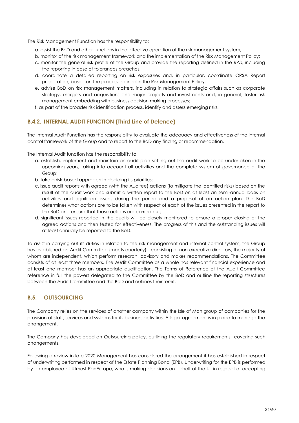The Risk Management Function has the responsibility to:

- a. assist the BoD and other functions in the effective operation of the risk management system;
- b. monitor of the risk management framework and the implementation of the Risk Management Policy;
- c. monitor the general risk profile of the Group and provide the reporting defined in the RAS, including the reporting in case of tolerances breaches;
- d. coordinate a detailed reporting on risk exposures and, in particular, coordinate ORSA Report preparation, based on the process defined in the Risk Management Policy;
- e. advise BoD on risk management matters, including in relation to strategic affairs such as corporate strategy, mergers and acquisitions and major projects and investments and, in general, foster risk management embedding with business decision making processes;
- f. as part of the broader risk identification process, identify and assess emerging risks.

## **B.4.2. INTERNAL AUDIT FUNCTION (Third Line of Defence)**

The Internal Audit Function has the responsibility to evaluate the adequacy and effectiveness of the internal control framework of the Group and to report to the BoD any finding or recommendation.

The Internal Audit function has the responsibility to:

- a. establish, implement and maintain an audit plan setting out the audit work to be undertaken in the upcoming years, taking into account all activities and the complete system of governance of the Group;
- b. take a risk-based approach in deciding its priorities;
- c. issue audit reports with agreed (with the Auditee) actions (to mitigate the identified risks) based on the result of the audit work and submit a written report to the BoD on at least an semi-annual basis on activities and significant issues during the period and a proposal of an action plan. The BoD determines what actions are to be taken with respect of each of the issues presented in the report to the BoD and ensure that those actions are carried out;
- d. significant issues reported in the audits will be closely monitored to ensure a proper closing of the agreed actions and then tested for effectiveness. The progress of this and the outstanding issues will at least annually be reported to the BoD.

To assist in carrying out its duties in relation to the risk management and internal control system, the Group has established an Audit Committee (meets quarterly) - consisting of non-executive directors, the majority of whom are independent, which perform research, advisory and makes recommendations. The Committee consists of at least three members. The Audit Committee as a whole has relevant financial experience and at least one member has an appropriate qualification. The Terms of Reference of the Audit Committee reference in full the powers delegated to the Committee by the BoD and outline the reporting structures between the Audit Committee and the BoD and outlines their remit.

## <span id="page-23-0"></span>**B.5. OUTSOURCING**

The Company relies on the services of another company within the Isle of Man group of companies for the provision of staff, services and systems for its business activities. A legal agreement is in place to manage the arrangement.

The Company has developed an Outsourcing policy, outlining the regulatory requirements covering such arrangements.

Following a review in late 2020 Management has considered the arrangement it has established in respect of underwriting performed in respect of the Estate Planning Bond (EPB). Underwriting for the EPB is performed by an employee of Utmost PanEurope, who is making decisions on behalf of the UL in respect of accepting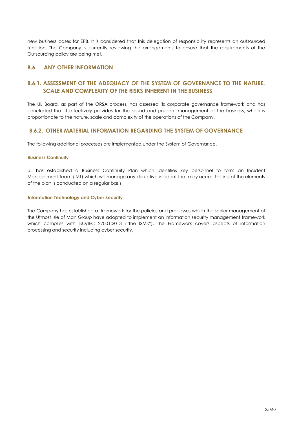new business cases for EPB. It is considered that this delegation of responsibility represents an outsourced function. The Company is currently reviewing the arrangements to ensure that the requirements of the Outsourcing policy are being met.

## <span id="page-24-0"></span>**B.6. ANY OTHER INFORMATION**

## **B.6.1. ASSESSMENT OF THE ADEQUACY OF THE SYSTEM OF GOVERNANCE TO THE NATURE, SCALE AND COMPLEXITY OF THE RISKS INHERENT IN THE BUSINESS**

The UL Board, as part of the ORSA process, has assessed its corporate governance framework and has concluded that it effectively provides for the sound and prudent management of the business, which is proportionate to the nature, scale and complexity of the operations of the Company.

## **B.6.2. OTHER MATERIAL INFORMATION REGARDING THE SYSTEM OF GOVERNANCE**

The following additional processes are implemented under the System of Governance.

#### **Business Continuity**

UL has established a Business Continuity Plan which identifies key personnel to form an Incident Management Team (IMT) which will manage any disruptive incident that may occur. Testing of the elements of the plan is conducted on a regular basis

#### **Information Technology and Cyber Security**

The Company has established a framework for the policies and processes which the senior management of the Utmost Isle of Man Group have adopted to implement an information security management framework which complies with ISO/IEC 27001:2013 ("the ISMS"). The Framework covers aspects of information processing and security including cyber security.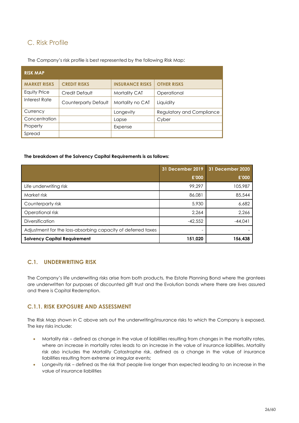## <span id="page-25-0"></span>C. Risk Profile

The Company's risk profile is best represented by the following Risk Map:

| <b>RISK MAP</b>     |                      |                        |                           |
|---------------------|----------------------|------------------------|---------------------------|
| <b>MARKET RISKS</b> | <b>CREDIT RISKS</b>  | <b>INSURANCE RISKS</b> | <b>OTHER RISKS</b>        |
| Equity Price        | Credit Default       | <b>Mortality CAT</b>   | Operational               |
| Interest Rate       | Counterparty Default | Mortality no CAT       | Liquidity                 |
| Currency            |                      | Longevity              | Regulatory and Compliance |
| Concentration       |                      | Lapse                  | Cyber                     |
| Property            |                      | Expense                |                           |
| Spread              |                      |                        |                           |

#### **The breakdown of the Solvency Capital Requirements is as follows:**

|                                                              | 31 December 2019 | 31 December 2020 |
|--------------------------------------------------------------|------------------|------------------|
|                                                              | £'000            | £'000            |
| Life underwriting risk                                       | 99,297           | 105,987          |
| Market risk                                                  | 86,081           | 85,544           |
| Counterparty risk                                            | 5,930            | 6,682            |
| Operational risk                                             | 2.264            | 2,266            |
| <b>Diversification</b>                                       | $-42,552$        | $-44.041$        |
| Adjustment for the loss-absorbing capacity of deferred taxes |                  |                  |
| <b>Solvency Capital Requirement</b>                          | 151,020          | 156,438          |

## **C.1. UNDERWRITING RISK**

The Company's life underwriting risks arise from both products, the Estate Planning Bond where the grantees are underwritten for purposes of discounted gift trust and the Evolution bonds where there are lives assured and there is Capital Redemption.

## **C.1.1. RISK EXPOSURE AND ASSESSMENT**

The Risk Map shown in C above sets out the underwriting/insurance risks to which the Company is exposed. The key risks include:

- Mortality risk defined as change in the value of liabilities resulting from changes in the mortality rates, where an increase in mortality rates leads to an increase in the value of insurance liabilities. Mortality risk also includes the Mortality Catastrophe risk, defined as a change in the value of insurance liabilities resulting from extreme or irregular events;
- Longevity risk defined as the risk that people live longer than expected leading to an increase in the value of insurance liabilities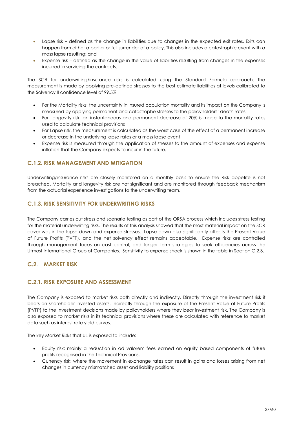- Lapse risk defined as the change in liabilities due to changes in the expected exit rates. Exits can happen from either a partial or full surrender of a policy. This also includes a catastrophic event with a mass lapse resulting: and
- Expense risk defined as the change in the value of liabilities resulting from changes in the expenses incurred in servicing the contracts.

The SCR for underwriting/insurance risks is calculated using the Standard Formula approach. The measurement is made by applying pre-defined stresses to the best estimate liabilities at levels calibrated to the Solvency II confidence level of 99.5%.

- For the Mortality risks, the uncertainty in insured population mortality and its impact on the Company is measured by applying permanent and catastrophe stresses to the policyholders' death rates
- For Longevity risk, an instantaneous and permanent decrease of 20% is made to the mortality rates used to calculate technical provisions
- For Lapse risk, the measurement is calculated as the worst case of the effect of a permanent increase or decrease in the underlying lapse rates or a mass lapse event
- Expense risk is measured through the application of stresses to the amount of expenses and expense inflation that the Company expects to incur in the future.

## **C.1.2. RISK MANAGEMENT AND MITIGATION**

Underwriting/insurance risks are closely monitored on a monthly basis to ensure the Risk appetite is not breached. Mortality and longevity risk are not significant and are monitored through feedback mechanism from the actuarial experience investigations to the underwriting team.

## **C.1.3. RISK SENSITIVITY FOR UNDERWRITING RISKS**

The Company carries out stress and scenario testing as part of the ORSA process which includes stress testing for the material underwriting risks. The results of this analysis showed that the most material impact on the SCR cover was in the lapse down and expense stresses. Lapse down also significantly affects the Present Value of Future Profits (PVFP), and the net solvency effect remains acceptable. Expense risks are controlled through management focus on cost control, and longer term strategies to seek efficiencies across the Utmost International Group of Companies. Sensitivity to expense shock is shown in the table in Section C.2.3.

## **C.2. MARKET RISK**

## **C.2.1. RISK EXPOSURE AND ASSESSMENT**

The Company is exposed to market risks both directly and indirectly. Directly through the investment risk it bears on shareholder invested assets. Indirectly through the exposure of the Present Value of Future Profits (PVFP) to the investment decisions made by policyholders where they bear investment risk. The Company is also exposed to market risks in its technical provisions where these are calculated with reference to market data such as interest rate yield curves.

The key Market Risks that UL is exposed to include:

- Equity risk: mainly a reduction in ad valorem fees earned on equity based components of future profits recognised in the Technical Provisions.
- Currency risk: where the movement in exchange rates can result in gains and losses arising from net changes in currency mismatched asset and liability positions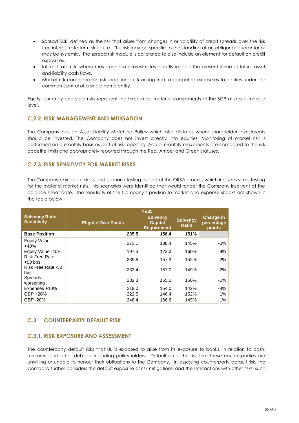- Spread Risk: defined as the risk that arises from changes in or volatility of credit spreads over the risk free interest rate term structure. This risk may be specific to the standing of an obligor or guarantor or may be systemic. The spread risk module is calibrated to also include an element for default on credit exposures.
- Interest rate risk: where movements in interest rates directly impact the present value of future asset and liability cash flows.
- Market risk concentration risk: additional risk arising from aggregated exposures to entities under the common control of a single name entity.

Equity, currency and yield risks represent the three most material components of the SCR at a sub-module level.

## **C.2.2. RISK MANAGEMENT AND MITIGATION**

The Company has an Asset Liability Matching Policy which also dictates where shareholder investments should be invested. The Company does not invest directly into equities. Monitoring of market risk is performed on a monthly basis as part of risk reporting. Actual monthly movements are compared to the risk appetite limits and appropriately reported through the Red, Amber and Green statuses.

## **C.2.3. RISK SENSITIVITY FOR MARKET RISKS**

The Company carries out stress and scenario testing as part of the ORSA process which includes stress testing for the material market risks. No scenarios were identified that would render the Company insolvent at the balance sheet date. The sensitivity of the Company's position to market and expense shocks are shown in the table below.

|                                             | <b>YE20</b>               |                                                         |                                 |                                          |
|---------------------------------------------|---------------------------|---------------------------------------------------------|---------------------------------|------------------------------------------|
| <b>Solvency Ratio</b><br><b>Sensitivity</b> | <b>Eligible Own Funds</b> | <b>Solvency</b><br><b>Capital</b><br><b>Requirement</b> | <b>Solvency</b><br><b>Ratio</b> | <b>Change in</b><br>percentage<br>points |
| <b>Base Position</b>                        | 235.5                     | 156.4                                                   | 151%                            |                                          |
| Equity Value<br>$+40%$                      | 273.1                     | 188.4                                                   | 145%                            | -6%                                      |
| Equity Value -40%                           | 197.3                     | 123.3                                                   | 160%                            | 9%                                       |
| <b>Risk Free Rate</b><br>$+50$ bps          | 239.8                     | 157.3                                                   | 152%                            | 2%                                       |
| Risk Free Rate -50<br>bps                   | 233.4                     | 157.0                                                   | 149%                            | $-2%$                                    |
| <b>Spreads</b><br>worsening                 | 232.3                     | 155.1                                                   | 150%                            | $-1%$                                    |
| Expenses +10%                               | 219.0                     | 154.0                                                   | 142%                            | $-8%$                                    |
| GBP +20%                                    | 222.5                     | 146.4                                                   | 152%                            | $1\%$                                    |
| GBP -20%                                    | 248.4                     | 166.6                                                   | 149%                            | -1%                                      |

## **C.3. COUNTERPARTY DEFAULT RISK**

## **C.3.1. RISK EXPOSURE AND ASSESSMENT**

The counterparty default risks that UL is exposed to arise from its exposure to banks, in relation to cash, reinsurers and other debtors, including policyholders. Default risk is the risk that these counterparties are unwilling or unable to honour their obligations to the Company. In assessing counterparty default risk, the Company further considers the default exposure of risk mitigations, and the interactions with other risks, such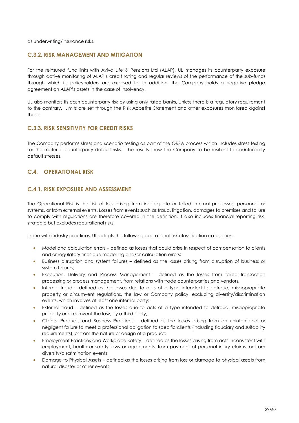as underwriting/insurance risks.

## **C.3.2. RISK MANAGEMENT AND MITIGATION**

For the reinsured fund links with Aviva Life & Pensions Ltd (ALAP), UL manages its counterparty exposure through active monitoring of ALAP's credit rating and regular reviews of the performance of the sub-funds through which its policyholders are exposed to. In addition, the Company holds a negative pledge agreement on ALAP's assets in the case of insolvency.

UL also monitors its cash counterparty risk by using only rated banks, unless there is a regulatory requirement to the contrary. Limits are set through the Risk Appetite Statement and other exposures monitored against these.

## **C.3.3. RISK SENSITIVITY FOR CREDIT RISKS**

The Company performs stress and scenario testing as part of the ORSA process which includes stress testing for the material counterparty default risks. The results show the Company to be resilient to counterparty default stresses.

## **C.4. OPERATIONAL RISK**

## **C.4.1. RISK EXPOSURE AND ASSESSMENT**

The Operational Risk is the risk of loss arising from inadequate or failed internal processes, personnel or systems, or from external events. Losses from events such as fraud, litigation, damages to premises and failure to comply with regulations are therefore covered in the definition. It also includes financial reporting risk, strategic but excludes reputational risks.

In line with industry practices, UL adopts the following operational risk classification categories:

- Model and calculation errors defined as losses that could arise in respect of compensation to clients and or regulatory fines due modelling and/or calculation errors;
- Business disruption and system failures defined as the losses arising from disruption of business or system failures;
- Execution, Delivery and Process Management defined as the losses from failed transaction processing or process management, from relations with trade counterparties and vendors.
- Internal fraud defined as the losses due to acts of a type intended to defraud, misappropriate property or circumvent regulations, the law or Company policy, excluding diversity/discrimination events, which involves at least one internal party;
- External fraud defined as the losses due to acts of a type intended to defraud, misappropriate property or circumvent the law, by a third party;
- Clients, Products and Business Practices defined as the losses arising from an unintentional or negligent failure to meet a professional obligation to specific clients (including fiduciary and suitability requirements), or from the nature or design of a product;
- Employment Practices and Workplace Safety defined as the losses arising from acts inconsistent with employment, health or safety laws or agreements, from payment of personal injury claims, or from diversity/discrimination events;
- Damage to Physical Assets defined as the losses arising from loss or damage to physical assets from natural disaster or other events;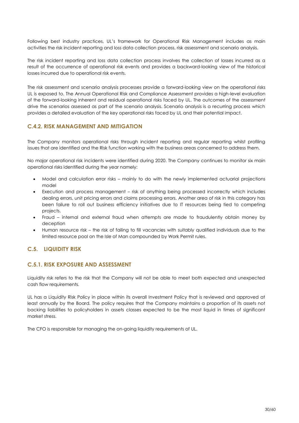Following best industry practices, UL's framework for Operational Risk Management includes as main activities the risk incident reporting and loss data collection process, risk assessment and scenario analysis.

The risk incident reporting and loss data collection process involves the collection of losses incurred as a result of the occurrence of operational risk events and provides a backward-looking view of the historical losses incurred due to operational risk events.

The risk assessment and scenario analysis processes provide a forward-looking view on the operational risks UL is exposed to. The Annual Operational Risk and Compliance Assessment provides a high-level evaluation of the forward-looking inherent and residual operational risks faced by UL. The outcomes of the assessment drive the scenarios assessed as part of the scenario analysis. Scenario analysis is a recurring process which provides a detailed evaluation of the key operational risks faced by UL and their potential impact.

## **C.4.2. RISK MANAGEMENT AND MITIGATION**

The Company monitors operational risks through incident reporting and regular reporting whilst profiling issues that are identified and the Risk function working with the business areas concerned to address them.

No major operational risk incidents were identified during 2020. The Company continues to monitor six main operational risks identified during the year namely:

- Model and calculation error risks mainly to do with the newly implemented actuarial projections model
- Execution and process management risk of anything being processed incorrectly which includes dealing errors, unit pricing errors and claims processing errors. Another area of risk in this category has been failure to roll out business efficiency initiatives due to IT resources being tied to competing projects.
- Fraud internal and external fraud when attempts are made to fraudulently obtain money by deception
- Human resource risk the risk of failing to fill vacancies with suitably qualified individuals due to the limited resource pool on the Isle of Man compounded by Work Permit rules.

## **C.5. LIQUIDITY RISK**

## **C.5.1. RISK EXPOSURE AND ASSESSMENT**

Liquidity risk refers to the risk that the Company will not be able to meet both expected and unexpected cash flow requirements.

UL has a Liquidity Risk Policy in place within its overall Investment Policy that is reviewed and approved at least annually by the Board. The policy requires that the Company maintains a proportion of its assets not backing liabilities to policyholders in assets classes expected to be the most liquid in times of significant market stress.

The CFO is responsible for managing the on-going liquidity requirements of UL.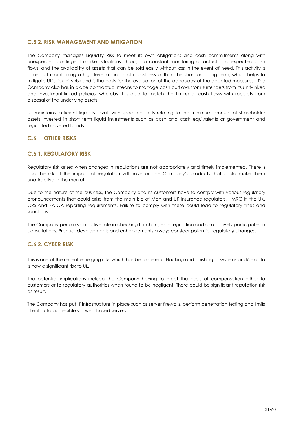## **C.5.2. RISK MANAGEMENT AND MITIGATION**

The Company manages Liquidity Risk to meet its own obligations and cash commitments along with unexpected contingent market situations, through a constant monitoring of actual and expected cash flows, and the availability of assets that can be sold easily without loss in the event of need. This activity is aimed at maintaining a high level of financial robustness both in the short and long term, which helps to mitigate UL's liquidity risk and is the basis for the evaluation of the adequacy of the adopted measures. The Company also has in place contractual means to manage cash outflows from surrenders from its unit-linked and investment-linked policies, whereby it is able to match the timing of cash flows with receipts from disposal of the underlying assets.

UL maintains sufficient liquidity levels with specified limits relating to the minimum amount of shareholder assets invested in short term liquid investments such as cash and cash equivalents or government and regulated covered bonds.

## **C.6. OTHER RISKS**

## **C.6.1. REGULATORY RISK**

Regulatory risk arises when changes in regulations are not appropriately and timely implemented. There is also the risk of the impact of regulation will have on the Company's products that could make them unattractive in the market.

Due to the nature of the business, the Company and its customers have to comply with various regulatory pronouncements that could arise from the main Isle of Man and UK insurance regulators, HMRC in the UK, CRS and FATCA reporting requirements. Failure to comply with these could lead to regulatory fines and sanctions.

The Company performs an active role in checking for changes in regulation and also actively participates in consultations. Product developments and enhancements always consider potential regulatory changes.

## **C.6.2. CYBER RISK**

This is one of the recent emerging risks which has become real. Hacking and phishing of systems and/or data is now a significant risk to UL.

The potential implications include the Company having to meet the costs of compensation either to customers or to regulatory authorities when found to be negligent. There could be significant reputation risk as result.

The Company has put IT infrastructure in place such as server firewalls, perform penetration testing and limits client data accessible via web-based servers.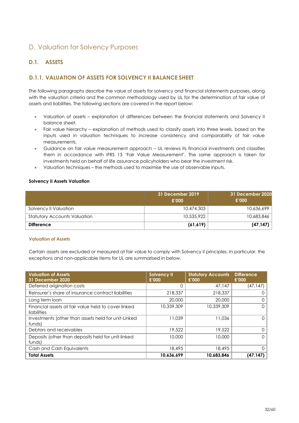## <span id="page-31-0"></span>D. Valuation for Solvency Purposes

## <span id="page-31-1"></span>**D.1. ASSETS**

## **D.1.1. VALUATION OF ASSETS FOR SOLVENCY II BALANCE SHEET**

The following paragraphs describe the value of assets for solvency and financial statements purposes, along with the valuation criteria and the common methodology used by UL for the determination of fair value of assets and liabilities. The following sections are covered in the report below:

- Valuation of assets explanation of differences between the financial statements and Solvency II balance sheet.
- Fair value hierarchy explanation of methods used to classify assets into three levels, based on the inputs used in valuation techniques to increase consistency and comparability of fair value measurements.
- Guidance on fair value measurement approach UL reviews its financial investments and classifies them in accordance with IFRS 13 'Fair Value Measurement'. The same approach is taken for investments held on behalf of life assurance policyholders who bear the investment risk.
- Valuation techniques the methods used to maximise the use of observable inputs.

#### **Solvency II Assets Valuation**

|                                     | 31 December 2019<br>£'000 | 31 December 2020<br>£'000 |
|-------------------------------------|---------------------------|---------------------------|
| Solvency II Valuation               | 10,474.303                | 10,636,699                |
| <b>Statutory Accounts Valuation</b> | 10,535,922                | 10,683,846                |
| <b>Difference</b>                   | (61,619)                  | (47, 147)                 |

#### **Valuation of Assets**

Certain assets are excluded or measured at fair value to comply with Solvency II principles. In particular, the exceptions and non-applicable items for UL are summarised in below.

| <b>Valuation of Assets</b><br><b>31 December 2020</b>              | <b>Solvency II</b><br>£'000 | <b>Statutory Accounts</b><br>£'000 | <b>Difference</b><br>£'000 |
|--------------------------------------------------------------------|-----------------------------|------------------------------------|----------------------------|
| Deferred origination costs                                         | 0                           | 47,147                             | (47, 147)                  |
| Reinsurer's share of insurance contract liabilities                | 218,337                     | 218,337                            |                            |
| Long term loan                                                     | 20,000                      | 20,000                             |                            |
| Financial assets at fair value held to cover linked<br>liabilities | 10,339,309                  | 10,339,309                         | 0                          |
| Investments (other than assets held for unit-Linked<br>funds)      | 11.039                      | 11.036                             | ი                          |
| Debtors and receivables                                            | 19,522                      | 19,522                             |                            |
| Deposits (other than deposits held for unit-linked<br>funds)       | 10,000                      | 10.000                             | 0                          |
| Cash and Cash Equivalents                                          | 18,495                      | 18,495                             |                            |
| <b>Total Assets</b>                                                | 10,636,699                  | 10,683,846                         | (47, 147)                  |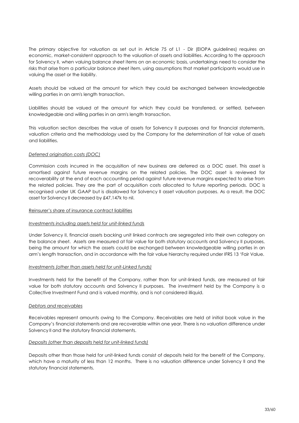The primary objective for valuation as set out in Article 75 of L1 - Dir (EIOPA guidelines) requires an economic, market-consistent approach to the valuation of assets and liabilities. According to the approach for Solvency II, when valuing balance sheet items on an economic basis, undertakings need to consider the risks that arise from a particular balance sheet item, using assumptions that market participants would use in valuing the asset or the liability.

Assets should be valued at the amount for which they could be exchanged between knowledgeable willing parties in an arm's length transaction.

Liabilities should be valued at the amount for which they could be transferred, or settled, between knowledgeable and willing parties in an arm's length transaction.

This valuation section describes the value of assets for Solvency II purposes and for financial statements, valuation criteria and the methodology used by the Company for the determination of fair value of assets and liabilities.

#### *Deferred origination costs (DOC)*

Commission costs incurred in the acquisition of new business are deferred as a DOC asset. This asset is amortised against future revenue margins on the related policies. The DOC asset is reviewed for recoverability at the end of each accounting period against future revenue margins expected to arise from the related policies. They are the part of acquisition costs allocated to future reporting periods. DOC is recognised under UK GAAP but is disallowed for Solvency II asset valuation purposes. As a result, the DOC asset for Solvency II decreased by £47,147k to nil.

#### Reinsurer's share of insurance contract liabilities

#### *Investments including assets held for unit-linked funds*

Under Solvency II, financial assets backing unit linked contracts are segregated into their own category on the balance sheet. Assets are measured at fair value for both statutory accounts and Solvency II purposes, being the amount for which the assets could be exchanged between knowledgeable willing parties in an arm's length transaction, and in accordance with the fair value hierarchy required under IFRS 13 'Fair Value.

#### *Investments (other than assets held for unit-Linked funds)*

Investments held for the benefit of the Company, rather than for unit-linked funds, are measured at fair value for both statutory accounts and Solvency II purposes. The investment held by the Company is a Collective Investment Fund and is valued monthly, and is not considered illiquid.

#### *Debtors and receivables*

Receivables represent amounts owing to the Company. Receivables are held at initial book value in the Company's financial statements and are recoverable within one year. There is no valuation difference under Solvency II and the statutory financial statements.

#### *Deposits (other than deposits held for unit-linked funds)*

Deposits other than those held for unit-linked funds consist of deposits held for the benefit of the Company, which have a maturity of less than 12 months. There is no valuation difference under Solvency II and the statutory financial statements.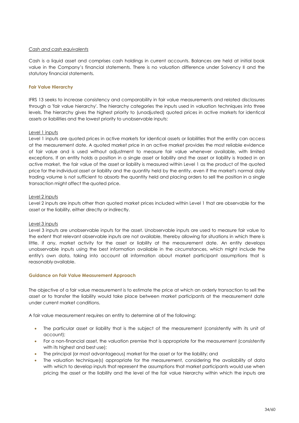#### *Cash and cash equivalents*

Cash is a liquid asset and comprises cash holdings in current accounts. Balances are held at initial book value in the Company's financial statements. There is no valuation difference under Solvency II and the statutory financial statements.

#### **Fair Value Hierarchy**

IFRS 13 seeks to increase consistency and comparability in fair value measurements and related disclosures through a 'fair value hierarchy'. The hierarchy categories the inputs used in valuation [techniques](http://www.iasplus.com/en/standards/ifrs/ifrs13#measurement_techniques) into three levels. The hierarchy gives the highest priority to (unadjusted) quoted prices in active markets for identical assets or liabilities and the lowest priority to unobservable inputs:

#### Level 1 inputs

Level 1 inputs are quoted prices in active markets for identical assets or liabilities that the entity can access at the measurement date. A quoted market price in an active market provides the most reliable evidence of fair value and is used without adjustment to measure fair value whenever available, with limited exceptions. If an entity holds a position in a single asset or liability and the asset or liability is traded in an active market, the fair value of the asset or liability is measured within Level 1 as the product of the quoted price for the individual asset or liability and the quantity held by the entity, even if the market's normal daily trading volume is not sufficient to absorb the quantity held and placing orders to sell the position in a single transaction might affect the quoted price.

#### Level 2 inputs

Level 2 inputs are inputs other than quoted market prices included within Level 1 that are observable for the asset or the liability, either directly or indirectly.

#### Level 3 inputs

Level 3 inputs are unobservable inputs for the asset. Unobservable inputs are used to measure fair value to the extent that relevant observable inputs are not available, thereby allowing for situations in which there is little, if any, market activity for the asset or liability at the measurement date. An entity develops unobservable inputs using the best information available in the circumstances, which might include the entity's own data, taking into account all information about market participant assumptions that is reasonably available.

#### **Guidance on Fair Value Measurement Approach**

The objective of a fair value measurement is to estimate the price at which an orderly transaction to sell the asset or to transfer the liability would take place between market participants at the measurement date under current market conditions.

A fair value measurement requires an entity to determine all of the following:

- The particular asset or liability that is the subject of the measurement (consistently with its unit of account);
- For a non-financial asset, the valuation premise that is appropriate for the measurement (consistently with its highest and best use);
- The principal (or most advantageous) market for the asset or for the liability; and
- The valuation technique(s) appropriate for the measurement, considering the availability of data with which to develop inputs that represent the assumptions that market participants would use when pricing the asset or the liability and the level of the fair value hierarchy within which the inputs are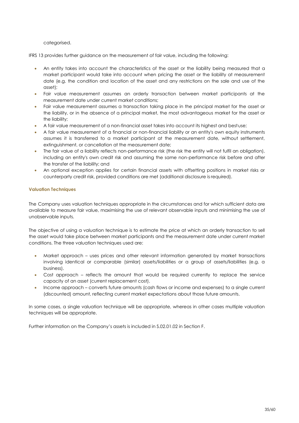categorised.

IFRS 13 provides further guidance on the measurement of fair value, including the following:

- An entity takes into account the characteristics of the asset or the liability being measured that a market participant would take into account when pricing the asset or the liability at measurement date (e.g. the condition and location of the asset and any restrictions on the sale and use of the asset);
- Fair value measurement assumes an orderly transaction between market participants at the measurement date under current market conditions;
- Fair value measurement assumes a transaction taking place in the principal market for the asset or the liability, or in the absence of a principal market, the most advantageous market for the asset or the liability;
- A fair value measurement of a non-financial asset takes into account its highest and bestuse;
- A fair value measurement of a financial or non-financial liability or an entity's own equity instruments assumes it is transferred to a market participant at the measurement date, without settlement, extinguishment, or cancellation at the measurement date;
- The fair value of a liability reflects non-performance risk (the risk the entity will not fulfil an obligation), including an entity's own credit risk and assuming the same non-performance risk before and after the transfer of the liability; and
- An optional exception applies for certain financial assets with offsetting positions in market risks or counterparty credit risk, provided conditions are met (additional disclosure is required).

## **Valuation Techniques**

The Company uses valuation techniques appropriate in the circumstances and for which sufficient data are available to measure fair value, maximising the use of relevant observable inputs and minimising the use of unobservable inputs.

The objective of using a valuation technique is to estimate the price at which an orderly transaction to sell the asset would take place between market participants and the measurement date under current market conditions. The three valuation techniques used are:

- Market approach uses prices and other relevant information generated by market transactions involving identical or comparable (similar) assets/liabilities or a group of assets/liabilities (e.g. a business).
- Cost approach reflects the amount that would be required currently to replace the service capacity of an asset (current replacement cost).
- Income approach converts future amounts (cash flows or income and expenses) to a single current (discounted) amount, reflecting current market expectations about those future amounts.

In some cases, a single valuation technique will be appropriate, whereas in other cases multiple valuation techniques will be appropriate.

Further information on the Company's assets is included in S.02.01.02 in Section F.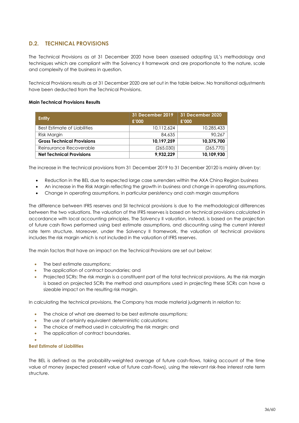## <span id="page-35-0"></span>**D.2. TECHNICAL PROVISIONS**

The Technical Provisions as at 31 December 2020 have been assessed adopting UL's methodology and techniques which are compliant with the Solvency II framework and are proportionate to the nature, scale and complexity of the business in question.

Technical Provisions results as at 31 December 2020 are set out in the table below. No transitional adjustments have been deducted from the Technical Provisions.

#### **Main Technical Provisions Results**

| <b>Entity</b>                     | 31 December 2019<br>£'000 | 31 December 2020<br>£'000 |
|-----------------------------------|---------------------------|---------------------------|
| Best Estimate of Liabilities      | 10.112.624                | 10,285,433                |
| Risk Margin                       | 84,635                    | 90.267                    |
| <b>Gross Technical Provisions</b> | 10,197,259                | 10,375,700                |
| Reinsurance Recoverable           | (265,030)                 | (265, 770)                |
| <b>Net Technical Provisions</b>   | 9,932,229                 | 10,109,930                |

The increase in the technical provisions from 31 December 2019 to 31 December 20120 is mainly driven by:

- Reduction in the BEL due to expected large case surrenders within the AXA China Region business
- An increase in the Risk Margin reflecting the growth in business and change in operating assumptions.
- Change in operating assumptions, in particular persistency and cash margin assumptions

The difference between IFRS reserves and SII technical provisions is due to the methodological differences between the two valuations. The valuation of the IFRS reserves is based on technical provisions calculated in accordance with local accounting principles. The Solvency II valuation, instead, is based on the projection of future cash flows performed using best estimate assumptions, and discounting using the current interest rate term structure. Moreover, under the Solvency II framework, the valuation of technical provisions includes the risk margin which is not included in the valuation of IFRS reserves.

The main factors that have an impact on the Technical Provisions are set out below:

- The best estimate assumptions;
- The application of contract boundaries; and
- Projected SCRs: The risk margin is a constituent part of the total technical provisions. As the risk margin is based on projected SCRs the method and assumptions used in projecting these SCRs can have a sizeable impact on the resulting risk margin.

In calculating the technical provisions, the Company has made material judgments in relation to:

- The choice of what are deemed to be best estimate assumptions;
- The use of certainty equivalent deterministic calculations;
- The choice of method used in calculating the risk margin; and
- The application of contract boundaries.
- $\bullet$

#### **Best Estimate of Liabilities**

The BEL is defined as the probability-weighted average of future cash-flows, taking account of the time value of money (expected present value of future cash-flows), using the relevant risk-free interest rate term structure.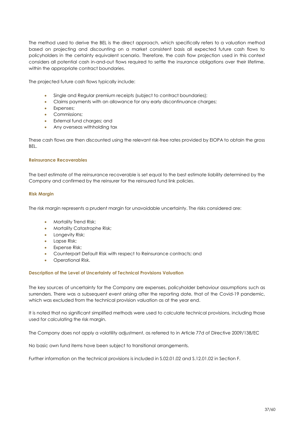The method used to derive the BEL is the direct approach, which specifically refers to a valuation method based on projecting and discounting on a market consistent basis all expected future cash flows to policyholders in the certainty equivalent scenario. Therefore, the cash flow projection used in this context considers all potential cash in-and-out flows required to settle the insurance obligations over their lifetime, within the appropriate contract boundaries.

The projected future cash flows typically include:

- Single and Regular premium receipts (subject to contract boundaries);
- Claims payments with an allowance for any early discontinuance charges;
- **Expenses**;
- Commissions:
- External fund charges; and
- Any overseas withholding tax

These cash flows are then discounted using the relevant risk-free rates provided by EIOPA to obtain the gross BEL.

#### **Reinsurance Recoverables**

The best estimate of the reinsurance recoverable is set equal to the best estimate liability determined by the Company and confirmed by the reinsurer for the reinsured fund link policies.

#### **Risk Margin**

The risk margin represents a prudent margin for unavoidable uncertainty. The risks considered are:

- Mortality Trend Risk;
- **Mortality Catastrophe Risk;**
- Longevity Risk;
- Lapse Risk;
- Expense Risk;
- Counterpart Default Risk with respect to Reinsurance contracts; and
- Operational Risk.

#### **Description of the Level of Uncertainty of Technical Provisions Valuation**

The key sources of uncertainty for the Company are expenses, policyholder behaviour assumptions such as surrenders. There was a subsequent event arising after the reporting date, that of the Covid-19 pandemic, which was excluded from the technical provision valuation as at the year end.

It is noted that no significant simplified methods were used to calculate technical provisions, including those used for calculating the risk margin.

The Company does not apply a volatility adjustment, as referred to in Article 77d of Directive 2009/138/EC

No basic own fund items have been subject to transitional arrangements.

Further information on the technical provisions is included in S.02.01.02 and S.12.01.02 in Section F.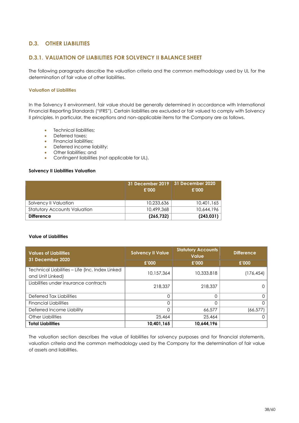## <span id="page-37-0"></span>**D.3. OTHER LIABILITIES**

## **D.3.1. VALUATION OF LIABILITIES FOR SOLVENCY II BALANCE SHEET**

The following paragraphs describe the valuation criteria and the common methodology used by UL for the determination of fair value of other liabilities.

#### **Valuation of Liabilities**

In the Solvency II environment, fair value should be generally determined in accordance with International Financial Reporting Standards ("IFRS"). Certain liabilities are excluded or fair valued to comply with Solvency II principles. In particular, the exceptions and non-applicable items for the Company are as follows.

- Technical liabilities;
- Deferred taxes:
- Financial liabilities;
- Deferred income liability;
- Other liabilities; and
- Contingent liabilities (not applicable for UL).

#### **Solvency II Liabilities Valuation**

|                                     | £'000      | 31 December 2019   31 December 2020<br>£'000 |
|-------------------------------------|------------|----------------------------------------------|
| Solvency II Valuation               | 10,233,636 | 10,401,165                                   |
| <b>Statutory Accounts Valuation</b> | 10,499,368 | 10,644,196                                   |
| <b>Difference</b>                   | (265, 732) | (243, 031)                                   |

#### **Value of Liabilities**

| <b>Values of Liabilities</b><br><b>31 December 2020</b> | <b>Solvency II Value</b> | <b>Statutory Accounts</b><br><b>Value</b> | <b>Difference</b> |
|---------------------------------------------------------|--------------------------|-------------------------------------------|-------------------|
|                                                         | £'000                    |                                           | £'000             |
| Technical Liabilities - Life (Inc. Index Linked         | 10.157.364               | 10,333,818                                | (176, 454)        |
| and Unit Linked)                                        |                          |                                           |                   |
| Liabilities under insurance contracts                   | 218,337                  | 218,337                                   |                   |
| Deferred Tax Liabilities                                | 0                        |                                           |                   |
| <b>Financial Liabilities</b>                            | 0                        |                                           |                   |
| Deferred Income Liability                               | 0                        | 66,577                                    | (66, 577)         |
| Other Liabilities                                       | 25,464                   | 25,464                                    |                   |
| <b>Total Liabilities</b>                                | 10,401,165               | 10,644,196                                |                   |

The valuation section describes the value of liabilities for solvency purposes and for financial statements, valuation criteria and the common methodology used by the Company for the determination of fair value of assets and liabilities.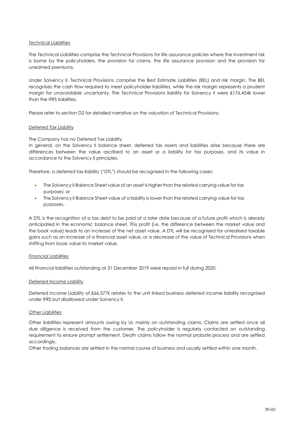#### *Technical Liabilities*

The Technical Liabilities comprise the Technical Provisions for life assurance policies where the investment risk is borne by the policyholders, the provision for claims, the life assurance provision and the provision for unearned premiums.

Under Solvency II, Technical Provisions comprise the Best Estimate Liabilities (BEL) and risk margin. The BEL recognises the cash flow required to meet policyholder liabilities, while the risk margin represents a prudent margin for unavoidable uncertainty. The Technical Provisions liability for Solvency II were £176,454k lower than the IFRS liabilities.

Please refer to section D2 for detailed narrative on the valuation of Technical Provisions.

#### *Deferred Tax Liability*

The Company has no Deferred Tax Liability.

In general, on the Solvency II balance sheet, deferred tax assets and liabilities arise because there are differences between the value ascribed to an asset or a liability for tax purposes, and its value in accordance to the Solvency II principles.

Therefore, a deferred tax liability ("DTL") should be recognised in the following cases:

- The Solvency II Balance Sheet value of an asset is higher than the related carrying value for tax purposes; or
- The Solvency II Balance Sheet value of a liability is lower than the related carrying value for tax purposes.

A DTL is the recognition of a tax debt to be paid at a later date because of a future profit which is already anticipated in the economic balance sheet. This profit (i.e. the difference between the market value and the book value) leads to an increase of the net asset value. A DTL will be recognised for unrealised taxable gains such as an increase of a financial asset value, or a decrease of the value of Technical Provisions when shifting from book value to market value.

#### *Financial Liabilities*

All financial liabilities outstanding at 31 December 2019 were repaid in full during 2020.

#### *Deferred Income Liability*

Deferred Income Liability of £66,577k relates to the unit linked business deferred income liability recognised under IFRS but disallowed under Solvency II.

#### *Other Liabilities*

Other liabilities represent amounts owing by UL mainly on outstanding claims. Claims are settled once all due diligence is received from the customer. The policyholder is regularly contacted on outstanding requirement to ensure prompt settlement. Death claims follow the normal probate process and are settled accordingly.

Other trading balances are settled in the normal course of business and usually settled within one month.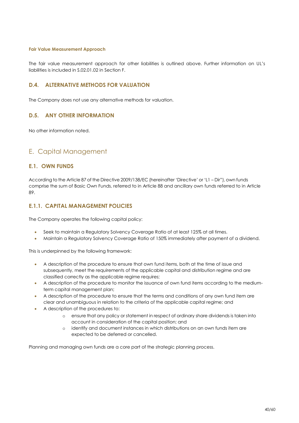#### **Fair Value Measurement Approach**

The fair value measurement approach for other liabilities is outlined above. Further information on UL's liabilities is included in S.02.01.02 in Section F.

## <span id="page-39-0"></span>**D.4. ALTERNATIVE METHODS FOR VALUATION**

The Company does not use any alternative methods for valuation.

## <span id="page-39-1"></span>**D.5. ANY OTHER INFORMATION**

No other information noted.

## E. Capital Management

## <span id="page-39-2"></span>**E.1. OWN FUNDS**

According to the Article 87 of the Directive 2009/138/EC (hereinafter 'Directive' or 'L1 – Dir"), own funds comprise the sum of Basic Own Funds, referred to in Article 88 and ancillary own funds referred to in Article 89.

## **E.1.1. CAPITAL MANAGEMENT POLICIES**

The Company operates the following capital policy:

- Seek to maintain a Regulatory Solvency Coverage Ratio of at least 125% at all times.
- Maintain a Regulatory Solvency Coverage Ratio of 150% immediately after payment of a dividend.

This is underpinned by the following framework:

- A description of the procedure to ensure that own fund items, both at the time of issue and subsequently, meet the requirements of the applicable capital and distribution regime and are classified correctly as the applicable regime requires;
- A description of the procedure to monitor the issuance of own fund items according to the mediumterm capital management plan;
- A description of the procedure to ensure that the terms and conditions of any own fund item are clear and unambiguous in relation to the criteria of the applicable capital regime; and
- A description of the procedures to:
	- o ensure that any policy or statement in respect of ordinary share dividends is taken into account in consideration of the capital position; and
	- o identify and document instances in which distributions on an own funds item are expected to be deferred or cancelled.

Planning and managing own funds are a core part of the strategic planning process.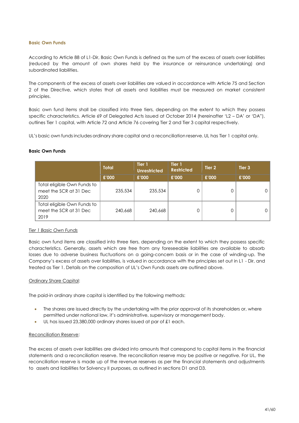#### **Basic Own Funds**

According to Article 88 of L1-Dir, Basic Own Funds is defined as the sum of the excess of assets over liabilities (reduced by the amount of own shares held by the insurance or reinsurance undertaking) and subordinated liabilities.

The components of the excess of assets over liabilities are valued in accordance with Article 75 and Section 2 of the Directive, which states that all assets and liabilities must be measured on market consistent principles.

Basic own fund items shall be classified into three tiers, depending on the extent to which they possess specific characteristics. Article 69 of Delegated Acts issued at October 2014 (hereinafter 'L2 – DA' or 'DA"), outlines Tier 1 capital, with Article 72 and Article 76 covering Tier 2 and Tier 3 capital respectively.

UL's basic own fundsincludes ordinary share capital and a reconciliation reserve. UL has Tier 1 capital only.

#### **Basic Own Funds**

|                                                               | <b>Total</b> | Tier 1<br><b>Unrestricted</b> | Tier 1<br><b>Restricted</b> | Tier 2 | Tier <sub>3</sub> |
|---------------------------------------------------------------|--------------|-------------------------------|-----------------------------|--------|-------------------|
|                                                               | £'000        | £'000                         | £'000                       | £'000  | £'000             |
| Total eligible Own Funds to<br>meet the SCR at 31 Dec<br>2020 | 235,534      | 235,534                       | 0                           |        | 0                 |
| Total eligible Own Funds to<br>meet the SCR at 31 Dec<br>2019 | 240,668      | 240,668                       | 0                           |        | 0                 |

#### *Tier 1 Basic Own Funds*

Basic own fund items are classified into three tiers, depending on the extent to which they possess specific characteristics. Generally, assets which are free from any foreseeable liabilities are available to absorb losses due to adverse business fluctuations on a going-concern basis or in the case of winding-up. The Company's excess of assets over liabilities, is valued in accordance with the principles set out in L1 - Dir, and treated as Tier 1. Details on the composition of UL's Own Funds assets are outlined above.

#### Ordinary Share Capital:

The paid-in ordinary share capital is identified by the following methods:

- The shares are issued directly by the undertaking with the prior approval of its shareholders or, where permitted under national law, it's administrative, supervisory or management body.
- UL has issued 23,380,000 ordinary shares issued at par of £1 each.

#### Reconciliation Reserve:

The excess of assets over liabilities are divided into amounts that correspond to capital items in the financial statements and a reconciliation reserve. The reconciliation reserve may be positive or negative. For UL, the reconciliation reserve is made up of the revenue reserves as per the financial statements and adjustments to assets and liabilities for Solvency II purposes, as outlined in sections D1 and D3.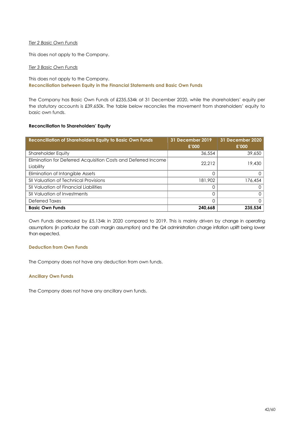#### *Tier 2 Basic Own Funds*

This does not apply to the Company.

#### *Tier 3 Basic Own Funds*

## This does not apply to the Company. **Reconciliation between Equity in the Financial Statements and Basic Own Funds**

The Company has Basic Own Funds of £235,534k at 31 December 2020, while the shareholders' equity per the statutory accounts is £39,650k. The table below reconciles the movement from shareholders' equity to basic own funds.

#### **Reconciliation to Shareholders' Equity**

| <b>Reconciliation of Shareholders Equity to Basic Own Funds</b> | <b>31 December 2019</b> | <b>31 December 2020</b> |
|-----------------------------------------------------------------|-------------------------|-------------------------|
|                                                                 | £'000                   | £'000                   |
| <b>Shareholder Equity</b>                                       | 36,554                  | 39,650                  |
| Elimination for Deferred Acquisition Costs and Deferred Income  | 22,212                  | 19,430                  |
| Liability                                                       |                         |                         |
| Elimination of Intangible Assets                                |                         |                         |
| <b>SII Valuation of Technical Provisions</b>                    | 181,902                 | 176,454                 |
| <b>SII Valuation of Financial Liabilities</b>                   |                         |                         |
| <b>SII Valuation of Investments</b>                             |                         |                         |
| Deferred Taxes                                                  |                         |                         |
| <b>Basic Own Funds</b>                                          | 240,668                 | 235.534                 |

Own Funds decreased by £5,134k in 2020 compared to 2019. This is mainly driven by change in operating assumptions (in particular the cash margin assumption) and the Q4 administration charge inflation uplift being lower than expected.

#### **Deduction from Own Funds**

The Company does not have any deduction from own funds.

## **Ancillary Own Funds**

The Company does not have any ancillary own funds.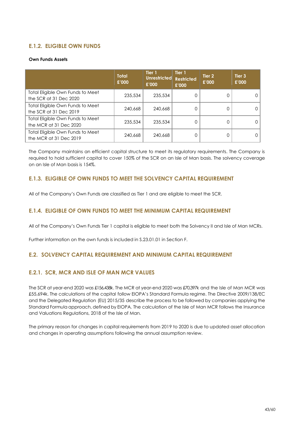## **E.1.2. ELIGIBLE OWN FUNDS**

#### **Own Funds Assets**

|                                                            | <b>Total</b><br>£'000 | Tier 1<br>Unrestricted<br>£'000 | Tier 1<br><b>Restricted</b><br>£'000 | Tier 2<br>£'000 | Tier <sub>3</sub><br>£'000 |
|------------------------------------------------------------|-----------------------|---------------------------------|--------------------------------------|-----------------|----------------------------|
| Total Eligible Own Funds to Meet<br>the SCR at 31 Dec 2020 | 235,534               | 235,534                         | 0                                    |                 |                            |
| Total Eligible Own Funds to Meet<br>the SCR at 31 Dec 2019 | 240,668               | 240,668                         | 0                                    | 0               |                            |
| Total Eligible Own Funds to Meet<br>the MCR at 31 Dec 2020 | 235,534               | 235,534                         | 0                                    | Ω               |                            |
| Total Eligible Own Funds to Meet<br>the MCR at 31 Dec 2019 | 240,668               | 240,668                         | 0                                    |                 |                            |

The Company maintains an efficient capital structure to meet its regulatory requirements. The Company is required to hold sufficient capital to cover 150% of the SCR on an Isle of Man basis. The solvency coverage on an Isle of Man basis is 154%.

## **E.1.3. ELIGIBLE OF OWN FUNDS TO MEET THE SOLVENCY CAPITAL REQUIREMENT**

All of the Company's Own Funds are classified as Tier 1 and are eligible to meet the SCR.

## **E.1.4. ELIGIBLE OF OWN FUNDS TO MEET THE MINIMUM CAPITAL REQUIREMENT**

All of the Company's Own Funds Tier 1 capital is eligible to meet both the Solvency II and Isle of Man MCRs.

Further information on the own funds is included in S.23.01.01 in Section F.

## <span id="page-42-0"></span>**E.2. SOLVENCY CAPITAL REQUIREMENT AND MINIMUM CAPITAL REQUIREMENT**

## **E.2.1. SCR, MCR AND ISLE OF MAN MCR VALUES**

The SCR at year-end 2020 was £156,438k. The MCR at year-end 2020 was £70,397k and the Isle of Man MCR was £55,694k. The calculations of the capital follow EIOPA's Standard Formula regime. The Directive 2009/138/EC and the Delegated Regulation (EU) 2015/35 describe the process to be followed by companies applying the Standard Formula approach, defined by EIOPA. The calculation of the Isle of Man MCR follows the Insurance and Valuations Regulations, 2018 of the Isle of Man.

The primary reason for changes in capital requirements from 2019 to 2020 is due to updated asset allocation and changes in operating assumptions following the annual assumption review.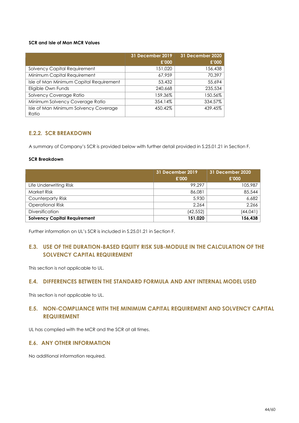## **SCR and Isle of Man MCR Values**

|                                                | <b>31 December 2019</b> | 31 December 2020 |
|------------------------------------------------|-------------------------|------------------|
|                                                | £'000                   | £'000            |
| <b>Solvency Capital Requirement</b>            | 151,020                 | 156,438          |
| Minimum Capital Requirement                    | 67.959                  | 70,397           |
| Isle of Man Minimum Capital Requirement        | 53,432                  | 55,694           |
| Eligible Own Funds                             | 240,668                 | 235,534          |
| Solvency Coverage Ratio                        | 159.36%                 | 150.56%          |
| Minimum Solvency Coverage Ratio                | 354.14%                 | 334.57%          |
| Isle of Man Minimum Solvency Coverage<br>Ratio | 450.42%                 | 439.45%          |

## **E.2.2. SCR BREAKDOWN**

A summary of Company's SCR is provided below with further detail provided in S.25.01.21 in Section F.

#### **SCR Breakdown**

|                                     | 31 December 2019 | 31 December 2020 |
|-------------------------------------|------------------|------------------|
|                                     | £'000            | £'000            |
| Life Underwriting Risk              | 99.297           | 105,987          |
| <b>Market Risk</b>                  | 86,081           | 85,544           |
| Counterparty Risk                   | 5,930            | 6,682            |
| <b>Operational Risk</b>             | 2.264            | 2,266            |
| <b>Diversification</b>              | (42,552)         | (44,041)         |
| <b>Solvency Capital Requirement</b> | 151,020          | 156,438          |

Further information on UL's SCR is included in S.25.01.21 in Section F.

## <span id="page-43-0"></span>**E.3. USE OF THE DURATION-BASED EQUITY RISK SUB-MODULE IN THE CALCULATION OF THE SOLVENCY CAPITAL REQUIREMENT**

This section is not applicable to UL.

## **E.4. DIFFERENCES BETWEEN THE STANDARD FORMULA AND ANY INTERNAL MODEL USED**

This section is not applicable to UL.

## <span id="page-43-1"></span>**E.5. NON-COMPLIANCE WITH THE MINIMUM CAPITAL REQUIREMENT AND SOLVENCY CAPITAL REQUIREMENT**

UL has complied with the MCR and the SCR at all times.

## <span id="page-43-2"></span>**E.6. ANY OTHER INFORMATION**

No additional information required.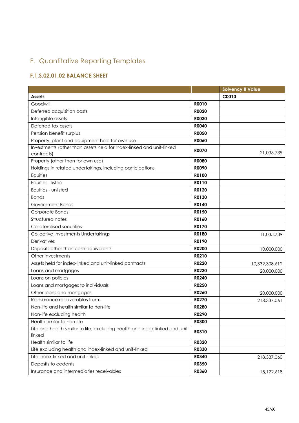## F. Quantitative Reporting Templates

## <span id="page-44-0"></span>**F.1.S.02.01.02 BALANCE SHEET**

|                                                                              |              | <b>Solvency II Value</b> |
|------------------------------------------------------------------------------|--------------|--------------------------|
| <b>Assets</b>                                                                |              | C0010                    |
| Goodwill                                                                     | <b>RO010</b> |                          |
| Deferred acquisition costs                                                   | <b>RO020</b> |                          |
| Intangible assets                                                            | <b>R0030</b> |                          |
| Deferred tax assets                                                          | <b>R0040</b> |                          |
| Pension benefit surplus                                                      | <b>R0050</b> |                          |
| Property, plant and equipment held for own use                               | <b>RO060</b> |                          |
| Investments (other than assets held for index-linked and unit-linked         | <b>R0070</b> |                          |
| contracts)                                                                   |              | 21,035,739               |
| Property (other than for own use)                                            | <b>RO080</b> |                          |
| Holdings in related undertakings, including participations                   | <b>ROO90</b> |                          |
| Equities                                                                     | R0100        |                          |
| Equities - listed                                                            | R0110        |                          |
| Equities - unlisted                                                          | R0120        |                          |
| <b>Bonds</b>                                                                 | R0130        |                          |
| Government Bonds                                                             | R0140        |                          |
| Corporate Bonds                                                              | R0150        |                          |
| Structured notes                                                             | R0160        |                          |
| Collateralised securities                                                    | R0170        |                          |
| Collective Investments Undertakings                                          | R0180        | 11,035,739               |
| Derivatives                                                                  | R0190        |                          |
| Deposits other than cash equivalents                                         | R0200        | 10,000,000               |
| Other investments                                                            | R0210        |                          |
| Assets held for index-linked and unit-linked contracts                       | R0220        | 10,339,308,612           |
| Loans and mortgages                                                          | R0230        | 20,000,000               |
| Loans on policies                                                            | R0240        |                          |
| Loans and mortgages to individuals                                           | R0250        |                          |
| Other loans and mortgages                                                    | R0260        | 20,000,000               |
| Reinsurance recoverables from:                                               | R0270        | 218,337,061              |
| Non-life and health similar to non-life                                      | <b>R0280</b> |                          |
| Non-life excluding health                                                    | R0290        |                          |
| Health similar to non-life                                                   | <b>R0300</b> |                          |
| Life and health similar to life, excluding health and index-linked and unit- |              |                          |
| linked                                                                       | R0310        |                          |
| Health similar to life                                                       | <b>R0320</b> |                          |
| Life excluding health and index-linked and unit-linked                       | <b>R0330</b> |                          |
| Life index-linked and unit-linked                                            | R0340        | 218,337,060              |
| Deposits to cedants                                                          | <b>R0350</b> |                          |
| Insurance and intermediaries receivables                                     | R0360        | 15,122,618               |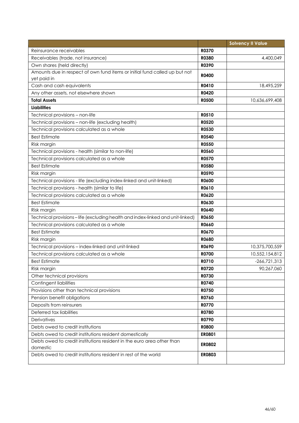|                                                                               |               | <b>Solvency II Value</b> |
|-------------------------------------------------------------------------------|---------------|--------------------------|
| Reinsurance receivables                                                       | <b>R0370</b>  |                          |
| Receivables (trade, not insurance)                                            | <b>R0380</b>  | 4,400,049                |
| Own shares (held directly)                                                    | R0390         |                          |
| Amounts due in respect of own fund items or initial fund called up but not    | <b>R0400</b>  |                          |
| yet paid in                                                                   |               |                          |
| Cash and cash equivalents                                                     | R0410         | 18,495,259               |
| Any other assets, not elsewhere shown                                         | R0420         |                          |
| <b>Total Assets</b>                                                           | <b>R0500</b>  | 10,636,699,408           |
| <b>Liabilities</b>                                                            |               |                          |
| Technical provisions - non-life                                               | R0510         |                          |
| Technical provisions - non-life (excluding health)                            | <b>R0520</b>  |                          |
| Technical provisions calculated as a whole                                    | R0530         |                          |
| <b>Best Estimate</b>                                                          | <b>R0540</b>  |                          |
| Risk margin                                                                   | <b>R0550</b>  |                          |
| Technical provisions - health (similar to non-life)                           | R0560         |                          |
| Technical provisions calculated as a whole                                    | <b>R0570</b>  |                          |
| <b>Best Estimate</b>                                                          | <b>R0580</b>  |                          |
| Risk margin                                                                   | <b>R0590</b>  |                          |
| Technical provisions - life (excluding index-linked and unit-linked)          | R0600         |                          |
| Technical provisions - health (similar to life)                               | R0610         |                          |
| Technical provisions calculated as a whole                                    | R0620         |                          |
| <b>Best Estimate</b>                                                          | R0630         |                          |
| Risk margin                                                                   | R0640         |                          |
| Technical provisions-life (excluding health and index-linked and unit-linked) | R0650         |                          |
| Technical provisions calculated as a whole                                    | <b>R0660</b>  |                          |
| <b>Best Estimate</b>                                                          | R0670         |                          |
| Risk margin                                                                   | <b>R0680</b>  |                          |
| Technical provisions - index-linked and unit-linked                           | <b>RO690</b>  | 10,375,700,559           |
| Technical provisions calculated as a whole                                    | R0700         | 10,552,154,812           |
| <b>Best Estimate</b>                                                          | R0710         | $-266,721,313$           |
| Risk margin                                                                   | R0720         | 90,267,060               |
| Other technical provisions                                                    | R0730         |                          |
| <b>Contingent liabilities</b>                                                 | R0740         |                          |
| Provisions other than technical provisions                                    | R0750         |                          |
| Pension benefit obligations                                                   | R0760         |                          |
| Deposits from reinsurers                                                      | <b>R0770</b>  |                          |
| Deferred tax liabilities                                                      | R0780         |                          |
| Derivatives                                                                   | R0790         |                          |
| Debts owed to credit institutions                                             | <b>R0800</b>  |                          |
| Debts owed to credit institutions resident domestically                       | <b>ER0801</b> |                          |
| Debts owed to credit institutions resident in the euro area other than        | <b>ER0802</b> |                          |
| domestic                                                                      |               |                          |
| Debts owed to credit institutions resident in rest of the world               | <b>ER0803</b> |                          |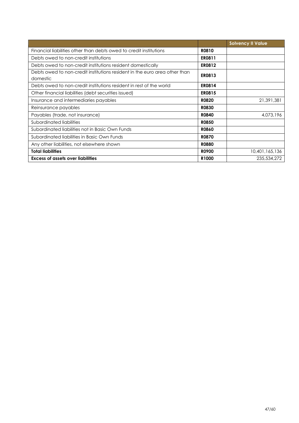|                                                                                        |                   | <b>Solvency II Value</b> |
|----------------------------------------------------------------------------------------|-------------------|--------------------------|
| Financial liabilities other than debts owed to credit institutions                     | R0810             |                          |
| Debts owed to non-credit institutions                                                  | <b>ER0811</b>     |                          |
| Debts owed to non-credit institutions resident domestically                            | <b>ER0812</b>     |                          |
| Debts owed to non-credit institutions resident in the euro area other than<br>domestic | <b>ER0813</b>     |                          |
| Debts owed to non-credit institutions resident in rest of the world                    | <b>ER0814</b>     |                          |
| Other financial liabilities (debt securities issued)                                   | <b>ER0815</b>     |                          |
| Insurance and intermediaries payables                                                  | <b>R0820</b>      | 21,391,381               |
| Reinsurance payables                                                                   | <b>R0830</b>      |                          |
| Payables (trade, not insurance)                                                        | <b>R0840</b>      | 4,073,196                |
| Subordinated liabilities                                                               | <b>R0850</b>      |                          |
| Subordinated liabilities not in Basic Own Funds                                        | <b>R0860</b>      |                          |
| Subordinated liabilities in Basic Own Funds                                            | <b>R0870</b>      |                          |
| Any other liabilities, not elsewhere shown                                             | <b>R0880</b>      |                          |
| <b>Total liabilities</b>                                                               | <b>RO900</b>      | 10,401,165,136           |
| <b>Excess of assets over liabilities</b>                                               | R <sub>1000</sub> | 235,534,272              |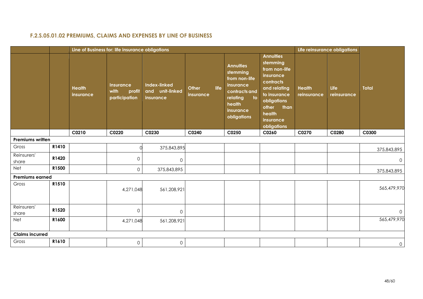## **F.2.S.05.01.02 PREMIUMS, CLAIMS AND EXPENSES BY LINE OF BUSINESS**

| <b>Annuities</b><br>stemming<br><b>Annuities</b><br>from non-life<br>stemming<br>insurance<br>from non-life<br>contracts<br>Index-linked<br>insurance<br><b>Insurance</b><br>life<br><b>Total</b><br>Life<br><b>Health</b><br>Other<br>and relating<br><b>Health</b><br>and unit-linked<br>with<br>profit<br>contracts and<br>to insurance<br>reinsurance<br>reinsurance<br>insurance<br>insurance<br>participation<br>to<br>relating<br>insurance<br>obligations<br>health<br>other<br>than<br>insurance<br>health<br>obligations<br>insurance<br>obligations<br>C0250<br>C0210<br>C0220<br>C0230<br>C0240<br>C0260<br>C0270<br>C0280<br>C0300<br><b>Premiums written</b><br>R1410<br>Gross<br>375,843,895<br>375,843,895<br>Reinsurers'<br>R1420<br>$\mathsf{O}\xspace$<br>$\mathsf{O}\xspace$<br>$\mathbf{0}$<br>share<br>Net<br>R1500<br>0<br>375,843,895<br>375,843,895<br><b>Premiums earned</b><br>R1510<br>Gross<br>561,208,921<br>4,271,048<br>Reinsurers'<br>R1520<br>$\mathbf{O}$<br>$\mathsf{O}$<br>$\mathbf 0$<br>share<br>R1600<br>Net<br>4,271,048<br>561,208,921<br><b>Claims incurred</b><br>R1610<br>Gross<br>$\mathsf{O}\xspace$<br>$\mathsf{O}\xspace$ |  | Line of Business for: life insurance obligations |  |  | Life reinsurance obligations |              |
|----------------------------------------------------------------------------------------------------------------------------------------------------------------------------------------------------------------------------------------------------------------------------------------------------------------------------------------------------------------------------------------------------------------------------------------------------------------------------------------------------------------------------------------------------------------------------------------------------------------------------------------------------------------------------------------------------------------------------------------------------------------------------------------------------------------------------------------------------------------------------------------------------------------------------------------------------------------------------------------------------------------------------------------------------------------------------------------------------------------------------------------------------------------------------|--|--------------------------------------------------|--|--|------------------------------|--------------|
|                                                                                                                                                                                                                                                                                                                                                                                                                                                                                                                                                                                                                                                                                                                                                                                                                                                                                                                                                                                                                                                                                                                                                                            |  |                                                  |  |  |                              |              |
| 565,479,970<br>565,479,970                                                                                                                                                                                                                                                                                                                                                                                                                                                                                                                                                                                                                                                                                                                                                                                                                                                                                                                                                                                                                                                                                                                                                 |  |                                                  |  |  |                              |              |
|                                                                                                                                                                                                                                                                                                                                                                                                                                                                                                                                                                                                                                                                                                                                                                                                                                                                                                                                                                                                                                                                                                                                                                            |  |                                                  |  |  |                              |              |
|                                                                                                                                                                                                                                                                                                                                                                                                                                                                                                                                                                                                                                                                                                                                                                                                                                                                                                                                                                                                                                                                                                                                                                            |  |                                                  |  |  |                              |              |
|                                                                                                                                                                                                                                                                                                                                                                                                                                                                                                                                                                                                                                                                                                                                                                                                                                                                                                                                                                                                                                                                                                                                                                            |  |                                                  |  |  |                              |              |
|                                                                                                                                                                                                                                                                                                                                                                                                                                                                                                                                                                                                                                                                                                                                                                                                                                                                                                                                                                                                                                                                                                                                                                            |  |                                                  |  |  |                              |              |
|                                                                                                                                                                                                                                                                                                                                                                                                                                                                                                                                                                                                                                                                                                                                                                                                                                                                                                                                                                                                                                                                                                                                                                            |  |                                                  |  |  |                              |              |
|                                                                                                                                                                                                                                                                                                                                                                                                                                                                                                                                                                                                                                                                                                                                                                                                                                                                                                                                                                                                                                                                                                                                                                            |  |                                                  |  |  |                              |              |
|                                                                                                                                                                                                                                                                                                                                                                                                                                                                                                                                                                                                                                                                                                                                                                                                                                                                                                                                                                                                                                                                                                                                                                            |  |                                                  |  |  |                              |              |
|                                                                                                                                                                                                                                                                                                                                                                                                                                                                                                                                                                                                                                                                                                                                                                                                                                                                                                                                                                                                                                                                                                                                                                            |  |                                                  |  |  |                              |              |
|                                                                                                                                                                                                                                                                                                                                                                                                                                                                                                                                                                                                                                                                                                                                                                                                                                                                                                                                                                                                                                                                                                                                                                            |  |                                                  |  |  |                              |              |
|                                                                                                                                                                                                                                                                                                                                                                                                                                                                                                                                                                                                                                                                                                                                                                                                                                                                                                                                                                                                                                                                                                                                                                            |  |                                                  |  |  |                              | $\mathsf{O}$ |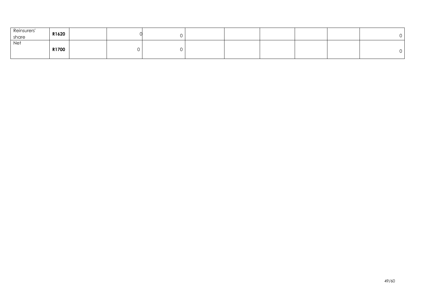| Reinsurers'<br>share | R1620 |  |  |  |  |  |
|----------------------|-------|--|--|--|--|--|
| Net                  | R1700 |  |  |  |  |  |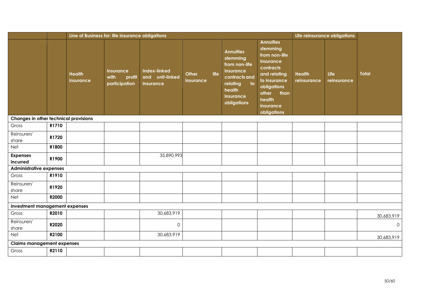|                                       |       |                            | Line of Business for: life insurance obligations |                                                     |                            |                                                                                                                                                              |                                                                                                                                                                               |                              | Life reinsurance obligations |              |
|---------------------------------------|-------|----------------------------|--------------------------------------------------|-----------------------------------------------------|----------------------------|--------------------------------------------------------------------------------------------------------------------------------------------------------------|-------------------------------------------------------------------------------------------------------------------------------------------------------------------------------|------------------------------|------------------------------|--------------|
|                                       |       | <b>Health</b><br>insurance | Insurance<br>with<br>profit<br>participation     | <b>Index-linked</b><br>and unit-linked<br>insurance | life<br>Other<br>insurance | <b>Annuities</b><br>stemming<br>from non-life<br>insurance<br>contracts and<br>relating<br>$\overline{\phantom{a}}$ to<br>health<br>insurance<br>obligations | <b>Annuities</b><br>stemming<br>from non-life<br>insurance<br>contracts<br>and relating<br>to insurance<br>obligations<br>than<br>other<br>health<br>insurance<br>obligations | <b>Health</b><br>reinsurance | Life<br>reinsurance          | <b>Total</b> |
| Changes in other technical provisions |       |                            |                                                  |                                                     |                            |                                                                                                                                                              |                                                                                                                                                                               |                              |                              |              |
| Gross                                 | R1710 |                            |                                                  |                                                     |                            |                                                                                                                                                              |                                                                                                                                                                               |                              |                              |              |
| Reinsurers'<br>share                  | R1720 |                            |                                                  |                                                     |                            |                                                                                                                                                              |                                                                                                                                                                               |                              |                              |              |
| Net                                   | R1800 |                            |                                                  |                                                     |                            |                                                                                                                                                              |                                                                                                                                                                               |                              |                              |              |
| <b>Expenses</b><br>incurred           | R1900 |                            |                                                  | 35,890,993                                          |                            |                                                                                                                                                              |                                                                                                                                                                               |                              |                              |              |
| <b>Administrative expenses</b>        |       |                            |                                                  |                                                     |                            |                                                                                                                                                              |                                                                                                                                                                               |                              |                              |              |
| Gross                                 | R1910 |                            |                                                  |                                                     |                            |                                                                                                                                                              |                                                                                                                                                                               |                              |                              |              |
| Reinsurers'<br>share                  | R1920 |                            |                                                  |                                                     |                            |                                                                                                                                                              |                                                                                                                                                                               |                              |                              |              |
| Net                                   | R2000 |                            |                                                  |                                                     |                            |                                                                                                                                                              |                                                                                                                                                                               |                              |                              |              |
| Investment management expenses        |       |                            |                                                  |                                                     |                            |                                                                                                                                                              |                                                                                                                                                                               |                              |                              |              |
| Gross                                 | R2010 |                            |                                                  | 30,683,919                                          |                            |                                                                                                                                                              |                                                                                                                                                                               |                              |                              | 30,683,919   |
| Reinsurers'<br>share                  | R2020 |                            |                                                  | $\mathbf 0$                                         |                            |                                                                                                                                                              |                                                                                                                                                                               |                              |                              | $\mathbf 0$  |
| Net                                   | R2100 |                            |                                                  | 30,683,919                                          |                            |                                                                                                                                                              |                                                                                                                                                                               |                              |                              | 30,683,919   |
| <b>Claims management expenses</b>     |       |                            |                                                  |                                                     |                            |                                                                                                                                                              |                                                                                                                                                                               |                              |                              |              |
| Gross                                 | R2110 |                            |                                                  |                                                     |                            |                                                                                                                                                              |                                                                                                                                                                               |                              |                              |              |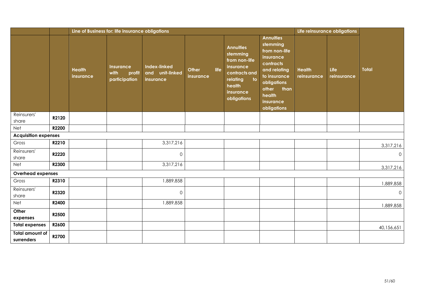|                                      |       |                                   | Line of Business for: life insurance obligations    |                                                     |                           |                                                                                                                      |                     |                                                                                                                                                                               |                              | Life reinsurance obligations |              |
|--------------------------------------|-------|-----------------------------------|-----------------------------------------------------|-----------------------------------------------------|---------------------------|----------------------------------------------------------------------------------------------------------------------|---------------------|-------------------------------------------------------------------------------------------------------------------------------------------------------------------------------|------------------------------|------------------------------|--------------|
|                                      |       | <b>Health</b><br><i>insurance</i> | <b>Insurance</b><br>with<br>profit<br>participation | <b>Index-linked</b><br>and unit-linked<br>insurance | <b>Other</b><br>insurance | <b>Annuities</b><br>stemming<br>from non-life<br>insurance<br>life<br>relating<br>health<br>insurance<br>obligations | contracts and<br>to | <b>Annuities</b><br>stemming<br>from non-life<br>insurance<br>contracts<br>and relating<br>to insurance<br>obligations<br>other<br>than<br>health<br>insurance<br>obligations | <b>Health</b><br>reinsurance | Life<br>reinsurance          | <b>Total</b> |
| Reinsurers'<br>share                 | R2120 |                                   |                                                     |                                                     |                           |                                                                                                                      |                     |                                                                                                                                                                               |                              |                              |              |
| Net                                  | R2200 |                                   |                                                     |                                                     |                           |                                                                                                                      |                     |                                                                                                                                                                               |                              |                              |              |
| <b>Acquisition expenses</b>          |       |                                   |                                                     |                                                     |                           |                                                                                                                      |                     |                                                                                                                                                                               |                              |                              |              |
| Gross                                | R2210 |                                   |                                                     | 3,317,216                                           |                           |                                                                                                                      |                     |                                                                                                                                                                               |                              |                              | 3,317,216    |
| Reinsurers'<br>share                 | R2220 |                                   |                                                     | $\mathbf 0$                                         |                           |                                                                                                                      |                     |                                                                                                                                                                               |                              |                              | $\mathsf{O}$ |
| Net                                  | R2300 |                                   |                                                     | 3,317,216                                           |                           |                                                                                                                      |                     |                                                                                                                                                                               |                              |                              | 3,317,216    |
| Overhead expenses                    |       |                                   |                                                     |                                                     |                           |                                                                                                                      |                     |                                                                                                                                                                               |                              |                              |              |
| Gross                                | R2310 |                                   |                                                     | 1,889,858                                           |                           |                                                                                                                      |                     |                                                                                                                                                                               |                              |                              | 1,889,858    |
| Reinsurers'<br>share                 | R2320 |                                   |                                                     | $\mathbf 0$                                         |                           |                                                                                                                      |                     |                                                                                                                                                                               |                              |                              | $\mathsf{O}$ |
| Net                                  | R2400 |                                   |                                                     | 1,889,858                                           |                           |                                                                                                                      |                     |                                                                                                                                                                               |                              |                              | 1,889,858    |
| Other<br>expenses                    | R2500 |                                   |                                                     |                                                     |                           |                                                                                                                      |                     |                                                                                                                                                                               |                              |                              |              |
| <b>Total expenses</b>                | R2600 |                                   |                                                     |                                                     |                           |                                                                                                                      |                     |                                                                                                                                                                               |                              |                              | 40,156,651   |
| <b>Total amount of</b><br>surrenders | R2700 |                                   |                                                     |                                                     |                           |                                                                                                                      |                     |                                                                                                                                                                               |                              |                              |              |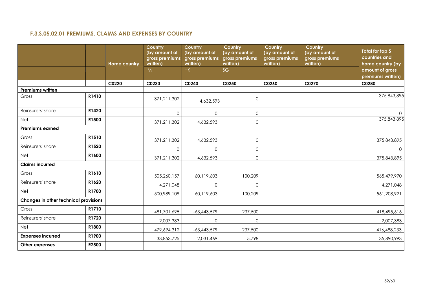## **F.3.S.05.02.01 PREMIUMS, CLAIMS AND EXPENSES BY COUNTRY**

<span id="page-51-0"></span>

|                                       |       | <b>Home country</b> | <b>Country</b><br>(by amount of<br>gross premiums<br>written) | Country<br>(by amount of<br>gross premiums<br>written) | Country<br>(by amount of<br>gross premiums<br>written) | Country<br>(by amount of<br>gross premiums<br>written) | Country<br>(by amount of<br>gross premiums<br>written) | Total for top 5<br>countries and<br>home country (by |
|---------------------------------------|-------|---------------------|---------------------------------------------------------------|--------------------------------------------------------|--------------------------------------------------------|--------------------------------------------------------|--------------------------------------------------------|------------------------------------------------------|
|                                       |       |                     | <b>IM</b>                                                     | HK                                                     | SG                                                     |                                                        |                                                        | amount of gross<br>premiums written)                 |
|                                       |       | C0220               | C0230                                                         | C0240                                                  | C0250                                                  | C0260                                                  | C0270                                                  | C0280                                                |
| <b>Premiums written</b>               |       |                     |                                                               |                                                        |                                                        |                                                        |                                                        |                                                      |
| Gross                                 | R1410 |                     | 371,211,302                                                   | 4,632,593                                              | $\mathsf{O}\xspace$                                    |                                                        |                                                        | 375,843,895                                          |
| Reinsurers' share                     | R1420 |                     | $\Omega$                                                      | $\mathbf 0$                                            | $\mathsf{O}\xspace$                                    |                                                        |                                                        | $\circ$                                              |
| Net                                   | R1500 |                     | 371,211,302                                                   | 4,632,593                                              | $\mathsf{O}\xspace$                                    |                                                        |                                                        | 375,843,895                                          |
| <b>Premiums earned</b>                |       |                     |                                                               |                                                        |                                                        |                                                        |                                                        |                                                      |
| Gross                                 | R1510 |                     | 371,211,302                                                   | 4,632,593                                              | $\mathbf 0$                                            |                                                        |                                                        | 375,843,895                                          |
| Reinsurers' share                     | R1520 |                     | 0                                                             | $\mathbf 0$                                            | $\mathsf{O}\xspace$                                    |                                                        |                                                        | $\overline{0}$                                       |
| Net                                   | R1600 |                     | 371,211,302                                                   | 4,632,593                                              | $\mathsf{O}$                                           |                                                        |                                                        | 375,843,895                                          |
| <b>Claims incurred</b>                |       |                     |                                                               |                                                        |                                                        |                                                        |                                                        |                                                      |
| Gross                                 | R1610 |                     | 505,260,157                                                   | 60,119,603                                             | 100,209                                                |                                                        |                                                        | 565,479,970                                          |
| Reinsurers' share                     | R1620 |                     | 4,271,048                                                     | $\mathbf 0$                                            | $\mathbf 0$                                            |                                                        |                                                        | 4,271,048                                            |
| Net                                   | R1700 |                     | 500,989,109                                                   | 60,119,603                                             | 100,209                                                |                                                        |                                                        | 561,208,921                                          |
| Changes in other technical provisions |       |                     |                                                               |                                                        |                                                        |                                                        |                                                        |                                                      |
| Gross                                 | R1710 |                     | 481,701,695                                                   | $-63,443,579$                                          | 237,500                                                |                                                        |                                                        | 418,495,616                                          |
| Reinsurers' share                     | R1720 |                     | 2,007,383                                                     | $\mathbf 0$                                            | $\mathsf{O}\xspace$                                    |                                                        |                                                        | 2,007,383                                            |
| Net                                   | R1800 |                     | 479,694,312                                                   | $-63,443,579$                                          | 237,500                                                |                                                        |                                                        | 416,488,233                                          |
| <b>Expenses incurred</b>              | R1900 |                     | 33,853,725                                                    | 2,031,469                                              | 5,798                                                  |                                                        |                                                        | 35,890,993                                           |
| Other expenses                        | R2500 |                     |                                                               |                                                        |                                                        |                                                        |                                                        |                                                      |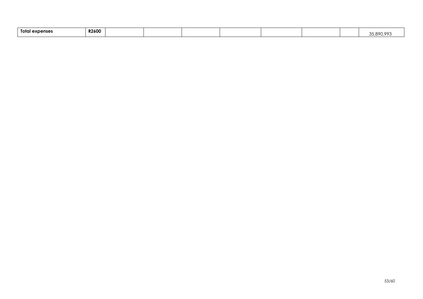| --<br>Total<br>l expenser | <b>R2600</b> |  |  |  |  |  |  |  | $\sim$ |
|---------------------------|--------------|--|--|--|--|--|--|--|--------|
|---------------------------|--------------|--|--|--|--|--|--|--|--------|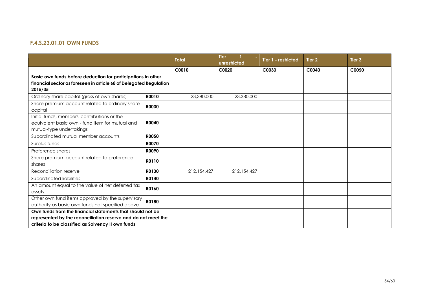## **F.4.S.23.01.01 OWN FUNDS**

|                                                                                                                             |              | <b>Total</b> | <b>Tier</b><br>unrestricted | Tier 1 - restricted | Tier 2 | Tier <sub>3</sub> |
|-----------------------------------------------------------------------------------------------------------------------------|--------------|--------------|-----------------------------|---------------------|--------|-------------------|
|                                                                                                                             |              | C0010        | C0020                       | C0030               | C0040  | C0050             |
| Basic own funds before deduction for participations in other                                                                |              |              |                             |                     |        |                   |
| financial sector as foreseen in article 68 of Delegated Regulation<br>2015/35                                               |              |              |                             |                     |        |                   |
| Ordinary share capital (gross of own shares)                                                                                | R0010        | 23,380,000   | 23,380,000                  |                     |        |                   |
| Share premium account related to ordinary share<br>capital                                                                  | <b>R0030</b> |              |                             |                     |        |                   |
| Initial funds, members' contributions or the<br>equivalent basic own - fund item for mutual and<br>mutual-type undertakings | <b>R0040</b> |              |                             |                     |        |                   |
| Subordinated mutual member accounts                                                                                         | <b>R0050</b> |              |                             |                     |        |                   |
| Surplus funds                                                                                                               | <b>R0070</b> |              |                             |                     |        |                   |
| Preference shares                                                                                                           | <b>ROO90</b> |              |                             |                     |        |                   |
| Share premium account related to preference<br>shares                                                                       | R0110        |              |                             |                     |        |                   |
| Reconciliation reserve                                                                                                      | R0130        | 212,154,427  | 212,154,427                 |                     |        |                   |
| Subordinated liabilities                                                                                                    | R0140        |              |                             |                     |        |                   |
| An amount equal to the value of net deferred tax<br>assets                                                                  | R0160        |              |                             |                     |        |                   |
| Other own fund items approved by the supervisory<br>authority as basic own funds not specified above                        | R0180        |              |                             |                     |        |                   |
| Own funds from the financial statements that should not be                                                                  |              |              |                             |                     |        |                   |
| represented by the reconciliation reserve and do not meet the<br>criteria to be classified as Solvency II own funds         |              |              |                             |                     |        |                   |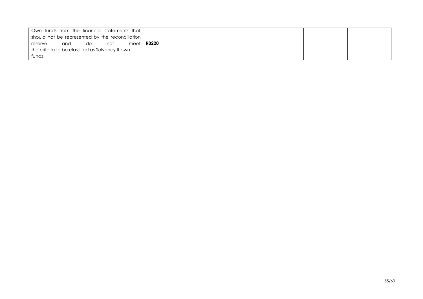|                                                  | Own funds from the financial statements that |    |     |      |              |  |  |  |
|--------------------------------------------------|----------------------------------------------|----|-----|------|--------------|--|--|--|
| should not be represented by the reconciliation  |                                              |    |     |      |              |  |  |  |
| reserve                                          | and                                          | do | not | meet | <b>RO220</b> |  |  |  |
| the criteria to be classified as Solvency II own |                                              |    |     |      |              |  |  |  |
| funds                                            |                                              |    |     |      |              |  |  |  |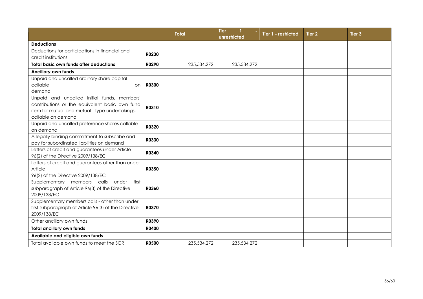|                                                                                                                                                                        |              | <b>Total</b> | <b>Tier</b><br>unrestricted | Tier 1 - restricted | Tier 2 | Tier <sub>3</sub> |
|------------------------------------------------------------------------------------------------------------------------------------------------------------------------|--------------|--------------|-----------------------------|---------------------|--------|-------------------|
| <b>Deductions</b>                                                                                                                                                      |              |              |                             |                     |        |                   |
| Deductions for participations in financial and<br>credit institutions                                                                                                  | R0230        |              |                             |                     |        |                   |
| <b>Total basic own funds after deductions</b>                                                                                                                          | R0290        | 235,534,272  | 235,534,272                 |                     |        |                   |
| <b>Ancillary own funds</b>                                                                                                                                             |              |              |                             |                     |        |                   |
| Unpaid and uncalled ordinary share capital<br>callable<br>on<br>demand                                                                                                 | <b>R0300</b> |              |                             |                     |        |                   |
| Unpaid and uncalled initial funds, members'<br>contributions or the equivalent basic own fund<br>item for mutual and mutual - type undertakings,<br>callable on demand | R0310        |              |                             |                     |        |                   |
| Unpaid and uncalled preference shares callable<br>on demand                                                                                                            | R0320        |              |                             |                     |        |                   |
| A legally binding commitment to subscribe and<br>pay for subordinated liabilities on demand                                                                            | R0330        |              |                             |                     |        |                   |
| Letters of credit and guarantees under Article<br>96(2) of the Directive 2009/138/EC                                                                                   | R0340        |              |                             |                     |        |                   |
| Letters of credit and guarantees other than under<br>Article<br>96(2) of the Directive 2009/138/EC                                                                     | R0350        |              |                             |                     |        |                   |
| Supplementary members calls<br>under<br>first<br>subparagraph of Article 96(3) of the Directive<br>2009/138/EC                                                         | <b>R0360</b> |              |                             |                     |        |                   |
| Supplementary members calls - other than under<br>first subparagraph of Article 96(3) of the Directive<br>2009/138/EC                                                  | <b>R0370</b> |              |                             |                     |        |                   |
| Other ancillary own funds                                                                                                                                              | R0390        |              |                             |                     |        |                   |
| <b>Total ancillary own funds</b>                                                                                                                                       | <b>R0400</b> |              |                             |                     |        |                   |
| Available and eligible own funds                                                                                                                                       |              |              |                             |                     |        |                   |
| Total available own funds to meet the SCR                                                                                                                              | <b>R0500</b> | 235,534,272  | 235,534,272                 |                     |        |                   |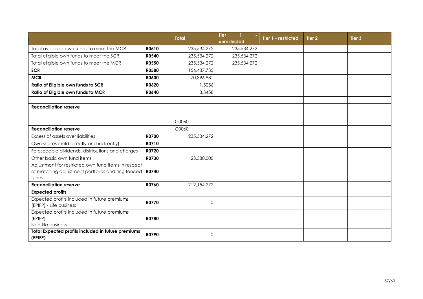|                                                                                                                   |              | <b>Total</b> | <b>Tier</b><br>$\mathbf{1}$<br>unrestricted | Tier 1 - restricted | Tier 2 | Tier <sub>3</sub> |
|-------------------------------------------------------------------------------------------------------------------|--------------|--------------|---------------------------------------------|---------------------|--------|-------------------|
| Total available own funds to meet the MCR                                                                         | R0510        | 235,534,272  | 235,534,272                                 |                     |        |                   |
| Total eligible own funds to meet the SCR                                                                          | <b>R0540</b> | 235,534,272  | 235,534,272                                 |                     |        |                   |
| Total eligible own funds to meet the MCR                                                                          | <b>R0550</b> | 235,534,272  | 235,534,272                                 |                     |        |                   |
| <b>SCR</b>                                                                                                        | <b>R0580</b> | 156,437,735  |                                             |                     |        |                   |
| <b>MCR</b>                                                                                                        | <b>R0600</b> | 70,396,981   |                                             |                     |        |                   |
| Ratio of Eligible own funds to SCR                                                                                | R0620        | 1.5056       |                                             |                     |        |                   |
| Ratio of Eligible own funds to MCR                                                                                | R0640        | 3.3458       |                                             |                     |        |                   |
|                                                                                                                   |              |              |                                             |                     |        |                   |
| <b>Reconciliation reserve</b>                                                                                     |              |              |                                             |                     |        |                   |
|                                                                                                                   |              |              |                                             |                     |        |                   |
|                                                                                                                   |              | C0060        |                                             |                     |        |                   |
| <b>Reconciliation reserve</b>                                                                                     |              | C0060        |                                             |                     |        |                   |
| Excess of assets over liabilities                                                                                 | <b>R0700</b> | 235,534,272  |                                             |                     |        |                   |
| Own shares (held directly and indirectly)                                                                         | R0710        |              |                                             |                     |        |                   |
| Foreseeable dividends, distributions and charges                                                                  | R0720        |              |                                             |                     |        |                   |
| Other basic own fund items                                                                                        | R0730        | 23,380,000   |                                             |                     |        |                   |
| Adjustment for restricted own fund items in respect<br>of matching adjustment portfolios and ring fenced<br>funds | R0740        |              |                                             |                     |        |                   |
| <b>Reconciliation reserve</b>                                                                                     | <b>R0760</b> | 212,154,272  |                                             |                     |        |                   |
| <b>Expected profits</b>                                                                                           |              |              |                                             |                     |        |                   |
| Expected profits included in future premiums<br>(EPIFP) - Life business                                           | <b>R0770</b> | $\Omega$     |                                             |                     |        |                   |
| Expected profits included in future premiums<br>(EPIFP)<br>Non-life business                                      | <b>R0780</b> |              |                                             |                     |        |                   |
| Total Expected profits included in future premiums<br>(EPIFP)                                                     | <b>R0790</b> | $\Omega$     |                                             |                     |        |                   |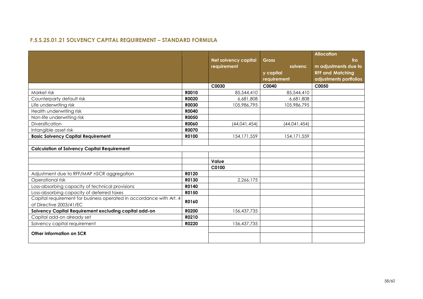## **F.5.S.25.01.21 SOLVENCY CAPITAL REQUIREMENT – STANDARD FORMULA**

|                                                                     |              |                             |               | <b>Allocation</b>       |
|---------------------------------------------------------------------|--------------|-----------------------------|---------------|-------------------------|
|                                                                     |              | <b>Net solvency capital</b> | <b>Gross</b>  | fro                     |
|                                                                     |              | requirement                 | solvenc       | m adjustments due to    |
|                                                                     |              |                             | y capital     | <b>RFF and Matching</b> |
|                                                                     |              |                             | requirement   | adjustments portfolios  |
|                                                                     |              | C0030                       | C0040         | C0050                   |
| Market risk                                                         | R0010        | 85,544,410                  | 85,544,410    |                         |
| Counterparty default risk                                           | R0020        | 6,681,808                   | 6,681,808     |                         |
| Life underwriting risk                                              | <b>R0030</b> | 105,986,795                 | 105,986,795   |                         |
| Health underwriting risk                                            | R0040        |                             |               |                         |
| Non-life underwriting risk                                          | <b>R0050</b> |                             |               |                         |
| Diversification                                                     | <b>R0060</b> | (44, 041, 454)              | (44,041,454)  |                         |
| Intangible asset risk                                               | <b>R0070</b> |                             |               |                         |
| <b>Basic Solvency Capital Requirement</b>                           | R0100        | 154, 171, 559               | 154, 171, 559 |                         |
|                                                                     |              |                             |               |                         |
| <b>Calculation of Solvency Capital Requirement</b>                  |              |                             |               |                         |
|                                                                     |              |                             |               |                         |
|                                                                     |              | Value                       |               |                         |
|                                                                     |              | C0100                       |               |                         |
| Adjustment due to RFF/MAP nSCR aggregation                          | R0120        |                             |               |                         |
| Operational risk                                                    | R0130        | 2,266,175                   |               |                         |
| Loss-absorbing capacity of technical provisions                     | R0140        |                             |               |                         |
| Loss-absorbing capacity of deferred taxes                           | R0150        |                             |               |                         |
| Capital requirement for business operated in accordance with Art. 4 | R0160        |                             |               |                         |
| of Directive 2003/41/EC                                             |              |                             |               |                         |
| Solvency Capital Requirement excluding capital add-on               | R0200        | 156,437,735                 |               |                         |
| Capital add-on already set                                          | R0210        |                             |               |                         |
| Solvency capital requirement                                        | R0220        | 156,437,735                 |               |                         |
| Other information on SCR                                            |              |                             |               |                         |
|                                                                     |              |                             |               |                         |
|                                                                     |              |                             |               |                         |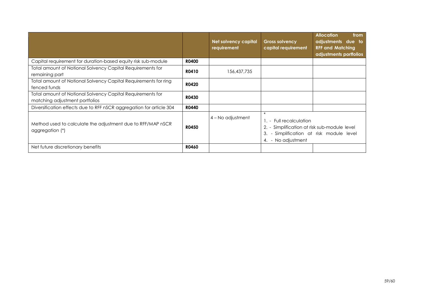|                                                                                              |              | <b>Net solvency capital</b><br>requirement | <b>Gross solvency</b><br>capital requirement                                                                                                        | <b>Allocation</b><br>from<br>adjustments due to<br><b>RFF and Matching</b><br>adjustments portfolios |
|----------------------------------------------------------------------------------------------|--------------|--------------------------------------------|-----------------------------------------------------------------------------------------------------------------------------------------------------|------------------------------------------------------------------------------------------------------|
| Capital requirement for duration-based equity risk sub-module                                | <b>R0400</b> |                                            |                                                                                                                                                     |                                                                                                      |
| Total amount of Notional Solvency Capital Requirements for<br>remaining part                 | R0410        | 156,437,735                                |                                                                                                                                                     |                                                                                                      |
| Total amount of Notional Solvency Capital Requirements for ring<br>fenced funds              | <b>R0420</b> |                                            |                                                                                                                                                     |                                                                                                      |
| Total amount of Notional Solvency Capital Requirements for<br>matching adjustment portfolios | <b>R0430</b> |                                            |                                                                                                                                                     |                                                                                                      |
| Diversification effects due to RFF nSCR aggregation for article 304                          | <b>R0440</b> |                                            |                                                                                                                                                     |                                                                                                      |
| Method used to calculate the adjustment due to RFF/MAP nSCR<br>aggregation (*)               | <b>R0450</b> | 4 – No adjustment                          | $\ast$<br>1. - Full recalculation<br>2. - Simplification at risk sub-module level<br>3. - Simplification at risk module level<br>4. - No adjustment |                                                                                                      |
| Net future discretionary benefits                                                            | <b>R0460</b> |                                            |                                                                                                                                                     |                                                                                                      |